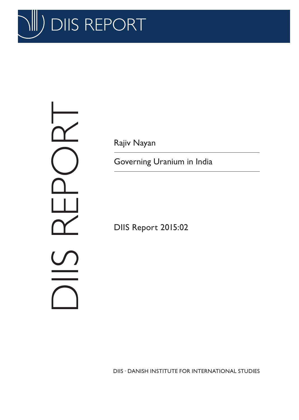

DIS REPORT  $\overline{\Upsilon}$ 

Rajiv Nayan

Governing Uranium in India

DIIS Report 2015:02

DIIS . DANISH INSTITUTE FOR INTERNATIONAL STUDIES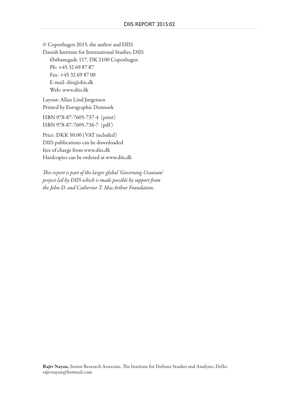© Copenhagen 2015, the author and DIIS Danish Institute for International Studies, DIIS Østbanegade 117, DK 2100 Copenhagen Ph: +45 32 69 87 87 Fax: +45 32 69 87 00 E-mail: diis@diis.dk Web: www.diis.dk

Layout: Allan Lind Jørgensen Printed by Eurographic Denmark

ISBN 978-87-7605-737-4 (print) ISBN 978-87-7605-736-7 (pdf )

Price: DKK 50.00 (VAT included) DIIS publications can be downloaded free of charge from www.diis.dk Hardcopies can be ordered at www.diis.dk

*This report is part of the larger global 'Governing Uranium' project led by DIIS which is made possible by support from the John D. and Catherine T. MacArthur Foundation.*

Rajiv Nayan, Senior Research Associate, The Institute for Defence Studies and Analyses, Delhi. rajivnayan@hotmail.com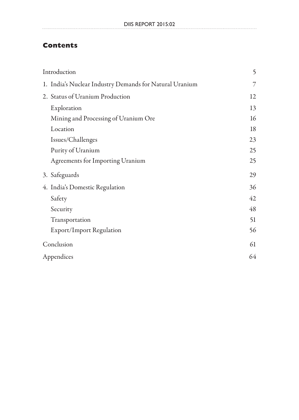# **Contents**

| Introduction                                            | 5  |
|---------------------------------------------------------|----|
| 1. India's Nuclear Industry Demands for Natural Uranium | 7  |
| 2. Status of Uranium Production                         | 12 |
| Exploration                                             | 13 |
| Mining and Processing of Uranium Ore                    | 16 |
| Location                                                | 18 |
| Issues/Challenges                                       | 23 |
| Purity of Uranium                                       | 25 |
| Agreements for Importing Uranium                        | 25 |
| 3. Safeguards                                           | 29 |
| 4. India's Domestic Regulation                          | 36 |
| Safety                                                  | 42 |
| Security                                                | 48 |
| Transportation                                          | 51 |
| <b>Export/Import Regulation</b>                         | 56 |
| Conclusion                                              | 61 |
| Appendices                                              | 64 |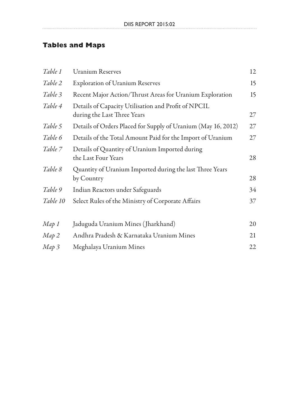# **Tables and Maps**

. . . . . . . .

| Table 1  | <b>Uranium Reserves</b>                                                            | 12 |
|----------|------------------------------------------------------------------------------------|----|
| Table 2  | <b>Exploration of Uranium Reserves</b>                                             | 15 |
| Table 3  | Recent Major Action/Thrust Areas for Uranium Exploration                           | 15 |
| Table 4  | Details of Capacity Utilisation and Profit of NPCIL<br>during the Last Three Years | 27 |
| Table 5  | Details of Orders Placed for Supply of Uranium (May 16, 2012)                      | 27 |
| Table 6  | Details of the Total Amount Paid for the Import of Uranium                         | 27 |
| Table 7  | Details of Quantity of Uranium Imported during<br>the Last Four Years              | 28 |
| Table 8  | Quantity of Uranium Imported during the last Three Years<br>by Country             | 28 |
| Table 9  | Indian Reactors under Safeguards                                                   | 34 |
| Table 10 | Select Rules of the Ministry of Corporate Affairs                                  | 37 |
| Map 1    | Jaduguda Uranium Mines (Jharkhand)                                                 | 20 |
| Map 2    | Andhra Pradesh & Karnataka Uranium Mines                                           | 21 |
| Map 3    | Meghalaya Uranium Mines                                                            | 22 |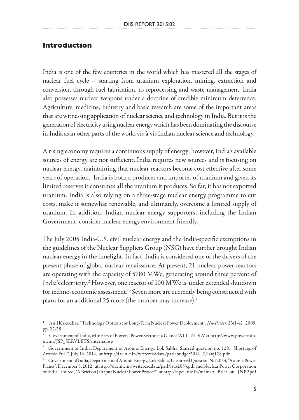#### **Introduction**

India is one of the few countries in the world which has mastered all the stages of nuclear fuel cycle – starting from uranium exploration, mining, extraction and conversion, through fuel fabrication, to reprocessing and waste management. India also possesses nuclear weapons under a doctrine of credible minimum deterrence. Agriculture, medicine, industry and basic research are some of the important areas that are witnessing application of nuclear science and technology in India. But it is the generation of electricity using nuclear energy which has been dominating the discourse in India as in other parts of the world vis-à-vis Indian nuclear science and technology.

A rising economy requires a continuous supply of energy; however, India's available sources of energy are not sufficient. India requires new sources and is focusing on nuclear energy, maintaining that nuclear reactors become cost effective after some years of operation.<sup>1</sup> India is both a producer and importer of uranium and given its limited reserves it consumes all the uranium it produces. So far, it has not exported uranium. India is also relying on a three-stage nuclear energy programme to cut costs, make it somewhat renewable, and ultimately, overcome a limited supply of uranium. In addition, Indian nuclear energy supporters, including the Indian Government, consider nuclear energy environment-friendly.

The July 2005 India-U.S. civil nuclear energy and the India-specific exemptions in the guidelines of the Nuclear Suppliers Group (NSG) have further brought Indian nuclear energy in the limelight. In fact, India is considered one of the drivers of the present phase of global nuclear renaissance. At present, 21 nuclear power reactors are operating with the capacity of 5780 MWe, generating around three percent of India's electricity.2 However, one reactor of 100 MWe is 'under extended shutdown for techno-economic assessment.<sup>3</sup> Seven more are currently being constructed with plans for an additional 25 more (the number may increase).<sup>4</sup>

<sup>1</sup> Anil Kakodkar, "Technology Options for Long-Term Nuclear Power Deployment", *Nu-Power*, 23(1-4),, 2009, pp. 22-28

<sup>2</sup> Government of India, Ministry of Power, "Power Sector at a Glance 'ALL INDIA' at http://www.powermin. nic.in/JSP\_SERVLETS/internal.jsp

<sup>3</sup> Government of India, Department of Atomic Energy, Lok Sabha, Starred question no. 128, "Shortage of Atomic Fuel", July 16, 2014, at http://dae.nic.in/writereaddata/parl/budget2014\_2/lssq128.pdf<br><sup>4</sup> Government of India, Department of Atomic Energy, Lok Sabha, Unstarred Question No 2053, "Atomic Power

Plants", December 5, 2012, at http://dae.nic.in/writereaddata/parl/lsus2053.pdf and Nuclear Power Corporation of India Limited, "A Brief on Jaitapur Nuclear Power Project", at http://npcil.nic.in/main/A\_Brief\_on\_ JNPP.pdf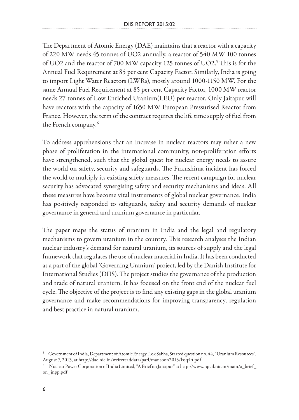The Department of Atomic Energy (DAE) maintains that a reactor with a capacity of 220 MW needs 45 tonnes of UO2 annually, a reactor of 540 MW 100 tonnes of UO2 and the reactor of 700 MW capacity 125 tonnes of UO2.5 This is for the Annual Fuel Requirement at 85 per cent Capacity Factor. Similarly, India is going to import Light Water Reactors (LWRs), mostly around 1000-1150 MW. For the same Annual Fuel Requirement at 85 per cent Capacity Factor, 1000 MW reactor needs 27 tonnes of Low Enriched Uranium(LEU) per reactor. Only Jaitapur will have reactors with the capacity of 1650 MW European Pressurised Reactor from France. However, the term of the contract requires the life time supply of fuel from the French company.<sup>6</sup>

To address apprehensions that an increase in nuclear reactors may usher a new phase of proliferation in the international community, non-proliferation efforts have strengthened, such that the global quest for nuclear energy needs to assure the world on safety, security and safeguards. The Fukushima incident has forced the world to multiply its existing safety measures. The recent campaign for nuclear security has advocated synergising safety and security mechanisms and ideas. All these measures have become vital instruments of global nuclear governance. India has positively responded to safeguards, safety and security demands of nuclear governance in general and uranium governance in particular.

The paper maps the status of uranium in India and the legal and regulatory mechanisms to govern uranium in the country. This research analyses the Indian nuclear industry's demand for natural uranium, its sources of supply and the legal framework that regulates the use of nuclear material in India. It has been conducted as a part of the global 'Governing Uranium' project, led by the Danish Institute for International Studies (DIIS). The project studies the governance of the production and trade of natural uranium. It has focused on the front end of the nuclear fuel cycle. The objective of the project is to find any existing gaps in the global uranium governance and make recommendations for improving transparency, regulation and best practice in natural uranium.

<sup>5</sup> Government of India, Department of Atomic Energy, Lok Sabha, Starred question no. 44, "Uranium Resources", August 7, 2013, at http://dae.nic.in/writereaddata/parl/mansoon2013/lssq44.pdf

 $^6$  Nuclear Power Corporation of India Limited, "A Brief on Jaitapur" at http://www.npcil.nic.in/main/a\_brief\_ on\_jnpp.pdf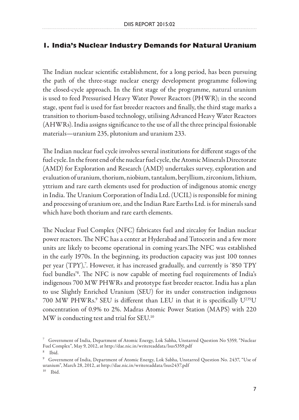### **1. India's Nuclear Industry Demands for Natural Uranium**

The Indian nuclear scientific establishment, for a long period, has been pursuing the path of the three-stage nuclear energy development programme following the closed-cycle approach. In the first stage of the programme, natural uranium is used to feed Pressurised Heavy Water Power Reactors (PHWR); in the second stage, spent fuel is used for fast breeder reactors and finally, the third stage marks a transition to thorium-based technology, utilising Advanced Heavy Water Reactors (AHWRs). India assigns significance to the use of all the three principal fissionable materials—uranium 235, plutonium and uranium 233.

The Indian nuclear fuel cycle involves several institutions for different stages of the fuel cycle. In the front end of the nuclear fuel cycle, the Atomic Minerals Directorate (AMD) for Exploration and Research (AMD) undertakes survey, exploration and evaluation of uranium, thorium, niobium, tantalum, beryllium, zirconium, lithium, yttrium and rare earth elements used for production of indigenous atomic energy in India. The Uranium Corporation of India Ltd. (UCIL) is responsible for mining and processing of uranium ore, and the Indian Rare Earths Ltd. is for minerals sand which have both thorium and rare earth elements.

The Nuclear Fuel Complex (NFC) fabricates fuel and zircaloy for Indian nuclear power reactors. The NFC has a center at Hyderabad and Tutocorin and a few more units are likely to become operational in coming years.The NFC was established in the early 1970s. In the beginning, its production capacity was just 100 tonnes per year (TPY),<sup>7</sup>. However, it has increased gradually, and currently is '850 TPY fuel bundles'8 . The NFC is now capable of meeting fuel requirements of India's indigenous 700 MW PHWRs and prototype fast breeder reactor. India has a plan to use Slightly Enriched Uranium (SEU) for its under construction indigenous 700 MW PHWRs.<sup>9</sup> SEU is different than LEU in that it is specifically  $U^{235}U$ concentration of 0.9% to 2%. Madras Atomic Power Station (MAPS) with 220 MW is conducting test and trial for SEU.<sup>10</sup>

<sup>7</sup> Government of India, Department of Atomic Energy, Lok Sabha, Unstarred Question No 5359, "Nuclear Fuel Complex", May 9, 2012, at http://dae.nic.in/writereaddata/lsus5359.pdf  $^{\rm 8}$  Ibid.

<sup>9</sup> Government of India, Department of Atomic Energy, Lok Sabha, Unstarred Question No. 2437, "Use of uranium", March 28, 2012, at http://dae.nic.in/writereaddata/lsus2437.pdf

<sup>10</sup> Ibid.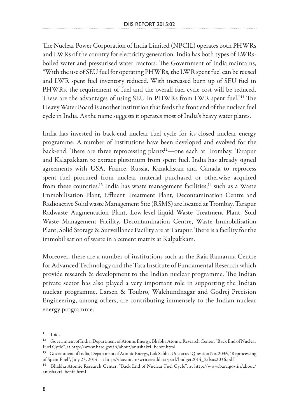The Nuclear Power Corporation of India Limited (NPCIL) operates both PHWRs and LWRs of the country for electricity generation. India has both types of LWRsboiled water and pressurised water reactors. The Government of India maintains, "With the use of SEU fuel for operating PHWRs, the LWR spent fuel can be reused and LWR spent fuel inventory reduced. With increased burn up of SEU fuel in PHWRs, the requirement of fuel and the overall fuel cycle cost will be reduced. These are the advantages of using SEU in PHWRs from LWR spent fuel."11 The Heavy Water Board is another institution that feeds the front end of the nuclear fuel cycle in India. As the name suggests it operates most of India's heavy water plants.

India has invested in back-end nuclear fuel cycle for its closed nuclear energy programme. A number of institutions have been developed and evolved for the back-end. There are three reprocessing plants<sup>12</sup>—one each at Trombay, Tarapur and Kalapakkam to extract plutonium from spent fuel. India has already signed agreements with USA, France, Russia, Kazakhstan and Canada to reprocess spent fuel procured from nuclear material purchased or otherwise acquired from these countries.<sup>13</sup> India has waste management facilities;<sup>14</sup> such as a Waste Immobilisation Plant, Effluent Treatment Plant, Decontamination Centre and Radioactive Solid waste Management Site (RSMS) are located at Trombay. Tarapur Radwaste Augmentation Plant, Low-level liquid Waste Treatment Plant, Sold Waste Management Facility, Decontamination Centre, Waste Immobilisation Plant, Solid Storage & Surveillance Facility are at Tarapur. There is a facility for the immobilisation of waste in a cement matrix at Kalpakkam.

Moreover, there are a number of institutions such as the Raja Ramanna Centre for Advanced Technology and the Tata Institute of Fundamental Research which provide research & development to the Indian nuclear programme. The Indian private sector has also played a very important role in supporting the Indian nuclear programme. Larsen & Toubro, Walchundnagar and Godrej Precision Engineering, among others, are contributing immensely to the Indian nuclear energy programme.

 $^{11}$  Ibid.

<sup>&</sup>lt;sup>12</sup> Government of India, Department of Atomic Energy, Bhabha Atomic Research Center, "Back End of Nuclear Fuel Cycle", at http://www.barc.gov.in/about/anushakti\_benfc.html

<sup>&</sup>lt;sup>13</sup> Government of India, Department of Atomic Energy, Lok Sabha, Unstarred Question No. 2036, "Reprocessing of Spent Fuel", July 23, 2014, at http://dae.nic.in/writereaddata/parl/budget2014\_2/lsus2036.pdf

 $^{14}$  Bhabha Atomic Research Center, "Back End of Nuclear Fuel Cycle", at http://www.barc.gov.in/about/ anushakti\_benfc.html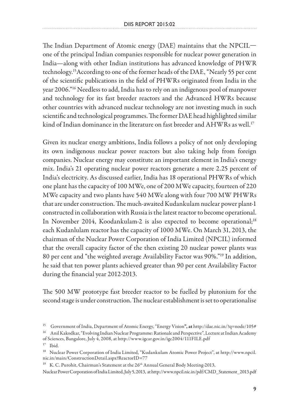The Indian Department of Atomic energy (DAE) maintains that the NPCIL one of the principal Indian companies responsible for nuclear power generation in India—along with other Indian institutions has advanced knowledge of PHWR technology.15According to one of the former heads of the DAE, "Nearly 55 per cent of the scientific publications in the field of PHWRs originated from India in the year 2006."16 Needless to add, India has to rely on an indigenous pool of manpower and technology for its fast breeder reactors and the Advanced HWRs because other countries with advanced nuclear technology are not investing much in such scientific and technological programmes. The former DAE head highlighted similar kind of Indian dominance in the literature on fast breeder and AHWRs as well.<sup>17</sup>

Given its nuclear energy ambitions, India follows a policy of not only developing its own indigenous nuclear power reactors but also taking help from foreign companies. Nuclear energy may constitute an important element in India's energy mix. India's 21 operating nuclear power reactors generate a mere 2.25 percent of India's electricity. As discussed earlier, India has 18 operational PHWRs of which one plant has the capacity of 100 MWe, one of 200 MWe capacity, fourteen of 220 MWe capacity and two plants have 540 MWe along with four 700 MW PHWRs that are under construction. The much-awaited Kudankulam nuclear power plant-1 constructed in collaboration with Russia is the latest reactor to become operational. In November 2014, Koodankulam-2 is also expected to become operational;<sup>18</sup> each Kudanlulam reactor has the capacity of 1000 MWe. On March 31, 2013, the chairman of the Nuclear Power Corporation of India Limited (NPCIL) informed that the overall capacity factor of the then existing 20 nuclear power plants was 80 per cent and "the weighted average Availability Factor was 90%."19 In addition, he said that ten power plants achieved greater than 90 per cent Availability Factor during the financial year 2012-2013.

The 500 MW prototype fast breeder reactor to be fuelled by plutonium for the second stage is under construction. The nuclear establishment is set to operationalise

<sup>15</sup> Government of India, Department of Atomic Energy, "Energy Vision", at http://dae.nic.in/?q=node/105# 16 Anil Kakodkar, "Evolving Indian Nuclear Programme: Rationale and Perspective", Lecture at Indian Academy

of Sciences, Bangalore, July 4, 2008, at http://www.igcar.gov.in/igc2004/111FILE.pdf 17 Ibid.

<sup>18</sup> Nuclear Power Corporation of India Limited, "Kudankulam Atomic Power Project", at http://www.npcil. nic.in/main/ConstructionDetail.aspx?ReactorID=77

<sup>&</sup>lt;sup>19</sup> K. C. Purohit, Chairman's Statement at the 26<sup>th</sup> Annual General Body Meeting-2013,

Nuclear Power Corporation of India Limited, July 5, 2013, at http://www.npcil.nic.in/pdf/CMD\_Statement\_2013.pdf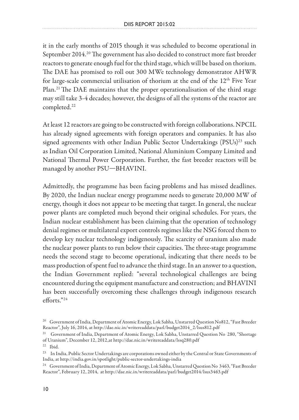it in the early months of 2015 though it was scheduled to become operational in September 2014.<sup>20</sup> The government has also decided to construct more fast breeder reactors to generate enough fuel for the third stage, which will be based on thorium. The DAE has promised to roll out 300 MWe technology demonstrator AHWR for large-scale commercial utilisation of thorium at the end of the 12<sup>th</sup> Five Year Plan.<sup>21</sup> The DAE maintains that the proper operationalisation of the third stage may still take 3-4 decades; however, the designs of all the systems of the reactor are completed.<sup>22</sup>

At least 12 reactors are going to be constructed with foreign collaborations. NPCIL has already signed agreements with foreign operators and companies. It has also signed agreements with other Indian Public Sector Undertakings (PSUs)<sup>23</sup> such as Indian Oil Corporation Limited, National Aluminium Company Limited and National Thermal Power Corporation. Further, the fast breeder reactors will be managed by another PSU—BHAVINI.

Admittedly, the programme has been facing problems and has missed deadlines. By 2020, the Indian nuclear energy programme needs to generate 20,000 MW of energy, though it does not appear to be meeting that target. In general, the nuclear power plants are completed much beyond their original schedules. For years, the Indian nuclear establishment has been claiming that the operation of technology denial regimes or multilateral export controls regimes like the NSG forced them to develop key nuclear technology indigenously. The scarcity of uranium also made the nuclear power plants to run below their capacities. The three-stage programme needs the second stage to become operational, indicating that there needs to be mass production of spent fuel to advance the third stage. In an answer to a question, the Indian Government replied: "several technological challenges are being encountered during the equipment manufacture and construction; and BHAVINI has been successfully overcoming these challenges through indigenous research efforts."24

<sup>20</sup> Government of India, Department of Atomic Energy, Lok Sabha, Unstarred Question No812, "Fast Breeder Reactor", July 16, 2014, at http://dae.nic.in/writereaddata/parl/budget2014\_2/lsus812.pdf

<sup>21</sup> Government of India, Department of Atomic Energy, Lok Sabha, Unstarred Question No 280, "Shortage of Uranium", December 12, 2012,at http://dae.nic.in/writereaddata/lssq280.pdf 22 Ibid.

<sup>&</sup>lt;sup>23</sup> In India, Public Sector Undertakings are corporations owned either by the Central or State Governments of India, at http://india.gov.in/spotlight/public-sector-undertakings-india<br><sup>24</sup> Government of India, Department of Atomic Energy, Lok Sabha, Unstarred Question No 3463, "Fast Breeder

Reactor", February 12, 2014, at http://dae.nic.in/writereaddata/parl/budget2014/lsus3463.pdf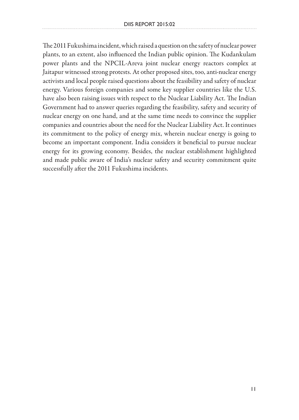The 2011 Fukushima incident, which raised a question on the safety of nuclear power plants, to an extent, also influenced the Indian public opinion. The Kudankulam power plants and the NPCIL-Areva joint nuclear energy reactors complex at Jaitapur witnessed strong protests. At other proposed sites, too, anti-nuclear energy activists and local people raised questions about the feasibility and safety of nuclear energy. Various foreign companies and some key supplier countries like the U.S. have also been raising issues with respect to the Nuclear Liability Act. The Indian Government had to answer queries regarding the feasibility, safety and security of nuclear energy on one hand, and at the same time needs to convince the supplier companies and countries about the need for the Nuclear Liability Act. It continues its commitment to the policy of energy mix, wherein nuclear energy is going to become an important component. India considers it beneficial to pursue nuclear energy for its growing economy. Besides, the nuclear establishment highlighted and made public aware of India's nuclear safety and security commitment quite successfully after the 2011 Fukushima incidents.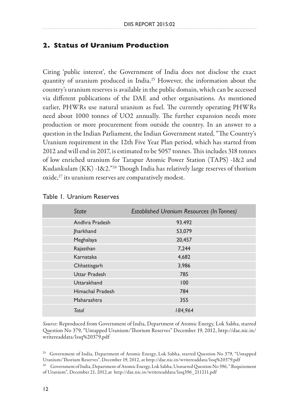#### **2. Status of Uranium Production**

Citing 'public interest', the Government of India does not disclose the exact quantity of uranium produced in India.25 However, the information about the country's uranium reserves is available in the public domain, which can be accessed via different publications of the DAE and other organisations. As mentioned earlier, PHWRs use natural uranium as fuel. The currently operating PHWRs need about 1000 tonnes of UO2 annually. The further expansion needs more production or more procurement from outside the country. In an answer to a question in the Indian Parliament, the Indian Government stated, "The Country's Uranium requirement in the 12th Five Year Plan period, which has started from 2012 and will end in 2017, is estimated to be 5057 tonnes. This includes 318 tonnes of low enriched uranium for Tarapur Atomic Power Station (TAPS) -1&2 and Kudankulam (KK) -1&2."26 Though India has relatively large reserves of thorium oxide,<sup>27</sup> its uranium reserves are comparatively modest.

| State            | <b>Established Uranium Resources (In Tonnes)</b> |
|------------------|--------------------------------------------------|
| Andhra Pradesh   | 93.492                                           |
| Jharkhand        | 53,079                                           |
| Meghalaya        | 20,457                                           |
| Rajasthan        | 7,244                                            |
| Karnataka        | 4,682                                            |
| Chhattisgarh     | 3,986                                            |
| Uttar Pradesh    | 785                                              |
| Uttarakhand      | 100                                              |
| Himachal Pradesh | 784                                              |
| Maharashtra      | 355                                              |
| <b>Total</b>     | 184,964                                          |

#### Table 1. Uranium Reserves

*Source:* Reproduced from Government of India, Department of Atomic Energy, Lok Sabha, starred Question No 379, "Untapped Uranium/Thorium Reserves" December 19, 2012, http://dae.nic.in/ writereaddata/lssq%20379.pdf

<sup>25</sup> Government of India, Department of Atomic Energy, Lok Sabha, starred Question No 379, "Untapped<br>Uranium/Thorium Reserves", December 19, 2012, at http://dae.nic.in/writereaddata/lssq%20379.pdf

 $^{26}$  Government of India, Department of Atomic Energy, Lok Sabha, Unstarred Question No 396, " Requirement of Uranium", December 21, 2012,at http://dae.nic.in/writereaddata/lssq396\_211211.pdf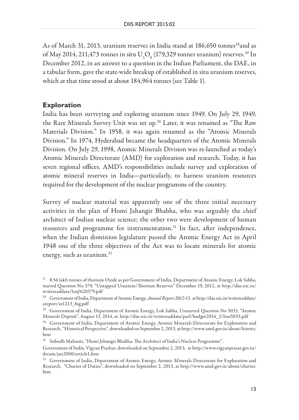As of March 31, 2013, uranium reserves in India stand at 186,650 tonnes<sup>28</sup> and as of May 2014, 211,473 tonnes in situ  $U_{3}O_{8}$  (179,329 tonnes uranium) reserves.<sup>29</sup> In December 2012, in an answer to a question in the Indian Parliament, the DAE, in a tabular form, gave the state-wide breakup of established in situ uranium reserves, which at that time stood at about 184,964 tonnes (see Table 1).

#### **Exploration**

India has been surveying and exploring uranium since 1949. On July 29, 1949, the Rare Minerals Survey Unit was set up.<sup>30</sup> Later, it was renamed as "The Raw Materials Division." In 1958, it was again renamed as the "Atomic Minerals Division." In 1974, Hyderabad became the headquarters of the Atomic Minerals Division. On July 29, 1998, Atomic Minerals Division was re-launched as today's Atomic Minerals Directorate (AMD) for exploration and research. Today, it has seven regional offices. AMD's responsibilities include survey and exploration of atomic mineral reserves in India—particularly, to harness uranium resources required for the development of the nuclear programme of the country.

Survey of nuclear material was apparently one of the three initial necessary activities in the plan of Homi Jahangir Bhabha, who was arguably the chief architect of Indian nuclear science; the other two were development of human resources and programme for instrumentation.<sup>31</sup> In fact, after independence, when the Indian dominion legislature passed the Atomic Energy Act in April 1948 one of the three objectives of the Act was to locate minerals for atomic energy, such as uranium.32

 $^{27}$  8.56 lakh tonnes of thorium Oxide as per Government of India, Department of Atomic Energy, Lok Sabha, starred Question No 379, "Untapped Uranium/Thorium Reserves" December 19, 2012, at http://dae.nic.in/ writereaddata/lssq%20379.pdf

<sup>28</sup> Government of India, Department of Atomic Energy, *Annual Report 2012-13*, at http://dae.nic.in/writereaddata/ areport/ar1213\_big.pdf

<sup>&</sup>lt;sup>29</sup> Government of India, Department of Atomic Energy, Lok Sabha, Unstarred Question No 5033, "Atomic Minerals Deposit", August 13, 2014, at http://dae.nic.in/writereaddata/parl/budget2014\_2/lsus5033.pdf

<sup>&</sup>lt;sup>30</sup> Government of India, Department of Atomic Energy, Atomic Minerals Directorate for Exploration and Research, "Historical Perspective", downloaded on September 2, 2013, at http://www.amd.gov.in/about/history. htm

<sup>&</sup>lt;sup>31</sup> Subodh Mahanti, "Homi Jehangir Bhabha: The Architect of India's Nuclear Programme",

Government of India, Vigyan Prashar, downloaded on September 2, 2013, at http://www.vigyanprasar.gov.in/ dream/jan2000/article1.htm

<sup>&</sup>lt;sup>32</sup> Government of India, Department of Atomic Energy, Atomic Minerals Directorate for Exploration and Research, "Charter of Duties", downloaded on September 2, 2013, at http://www.amd.gov.in/about/charter. htm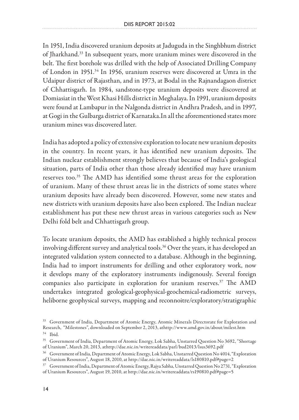In 1951, India discovered uranium deposits at Jaduguda in the Singhbhum district of Jharkhand.33 In subsequent years, more uranium mines were discovered in the belt. The first borehole was drilled with the help of Associated Drilling Company of London in 1951.34 In 1956, uranium reserves were discovered at Umra in the Udaipur district of Rajasthan, and in 1973, at Bodal in the Rajnandagaon district of Chhattisgarh. In 1984, sandstone-type uranium deposits were discovered at Domiasiat in the West Khasi Hills district in Meghalaya. In 1991, uranium deposits were found at Lambapur in the Nalgonda district in Andhra Pradesh, and in 1997, at Gogi in the Gulbarga district of Karnataka.In all the aforementioned states more uranium mines was discovered later.

India has adopted a policy of extensive exploration to locate new uranium deposits in the country. In recent years, it has identified new uranium deposits. The Indian nuclear establishment strongly believes that because of India's geological situation, parts of India other than those already identified may have uranium reserves too.35 The AMD has identified some thrust areas for the exploration of uranium. Many of these thrust areas lie in the districts of some states where uranium deposits have already been discovered. However, some new states and new districts with uranium deposits have also been explored. The Indian nuclear establishment has put these new thrust areas in various categories such as New Delhi fold belt and Chhattisgarh group.

To locate uranium deposits, the AMD has established a highly technical process involving different survey and analytical tools. $36$  Over the years, it has developed an integrated validation system connected to a database. Although in the beginning, India had to import instruments for drilling and other exploratory work, now it develops many of the exploratory instruments indigenously. Several foreign companies also participate in exploration for uranium reserves.<sup>37</sup> The AMD undertakes integrated geological-geophysical-geochemical-radiometric surveys, heliborne geophysical surveys, mapping and reconnoitre/exploratory/stratigraphic

<sup>&</sup>lt;sup>33</sup> Government of India, Department of Atomic Energy, Atomic Minerals Directorate for Exploration and Research, "Milestones", downloaded on September 2, 2013, athttp://www.amd.gov.in/about/milest.htm 34 Ibid.

<sup>&</sup>lt;sup>35</sup> Government of India, Department of Atomic Energy, Lok Sabha, Unstarred Question No 3692, "Shortage of Uranium", March 20, 2013, athttp://dae.nic.in/writereaddata/parl/bud2013/lsus3692.pdf

<sup>&</sup>lt;sup>36</sup> Government of India, Department of Atomic Energy, Lok Sabha, Unstarred Question No 4014, "Exploration of Uranium Resources", August 18, 2010, at http://dae.nic.in/writereaddata/ls180810.pdf#page=2

<sup>&</sup>lt;sup>37</sup> Government of India, Department of Atomic Energy, Rajya Sabha, Unstarred Question No 2731, "Exploration of Uranium Resources", August 19, 2010, at http://dae.nic.in/writereaddata/rs190810.pdf#page=5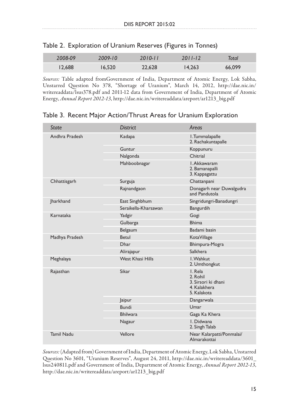| 2008-09 | 2009-10 | $2010 - 11$ | $2011 - 12$ | Total  |
|---------|---------|-------------|-------------|--------|
| 12.688  | 16.520  | 22.628      | 14.263      | 66,099 |

|  | Table 2. Exploration of Uranium Reserves (Figures in Tonnes) |  |  |  |  |
|--|--------------------------------------------------------------|--|--|--|--|
|--|--------------------------------------------------------------|--|--|--|--|

*Sources:* Table adapted fromGovernment of India, Department of Atomic Energy, Lok Sabha, Unstarred Question No 378, "Shortage of Uranium", March 14, 2012, http://dae.nic.in/ writereaddata/lsus378.pdf and 2011-12 data from Government of India, Department of Atomic Energy, *Annual Report 2012-13*, http://dae.nic.in/writereaddata/areport/ar1213\_big.pdf

| State             | <b>District</b>         | Areas                                                                     |
|-------------------|-------------------------|---------------------------------------------------------------------------|
| Andhra Pradesh    | Kadapa                  | I.Tummalapalle<br>2. Rachakuntapalle                                      |
|                   | Guntur                  | Koppunuru                                                                 |
|                   | Nalgonda                | Chitrial                                                                  |
|                   | Mahboobnagar            | I. Akkawaram<br>2. Bamanapalli<br>3. Kappagattu                           |
| Chhattisgarh      | Surguja                 | Chattanpani                                                               |
|                   | Rajnandgaon             | Donagarh near Duwalgudra<br>and Pandutola                                 |
| <b>Jharkhand</b>  | East Singhbhum          | Singridungri-Banadungri                                                   |
|                   | Seraikella-Kharsawan    | Bangurdih                                                                 |
| Karnataka         | Yadgir                  | Gogi                                                                      |
|                   | Gulbarga                | <b>Bhima</b>                                                              |
|                   | Belgaum                 | Badami basin                                                              |
| Madhya Pradesh    | Betul                   | KotaVillage                                                               |
|                   | Dhar                    | Bhimpura-Mogra                                                            |
|                   | Alirajapur              | <b>Salkhera</b>                                                           |
| Meghalaya         | <b>West Khasi Hills</b> | I. Wahkut<br>2. Umthongkut                                                |
| Rajasthan         | Sikar                   | I. Rela<br>2. Rohil<br>3. Sirsori ki dhani<br>4. Kalakhera<br>5. Kalakota |
|                   | <b>Jaipur</b>           | Dangarwala                                                                |
|                   | <b>Bundi</b>            | Umar                                                                      |
|                   | <b>Bhilwara</b>         | Gaga Ka Khera                                                             |
|                   | Nagaur                  | L Didwana<br>2. Singh Talab                                               |
| <b>Tamil Nadu</b> | Vellore                 | Near Kalarpatti/Ponmalai/<br>Almarakottai                                 |

Table 3. Recent Major Action/Thrust Areas for Uranium Exploration

*Sources:* (Adapted from) Government of India, Department of Atomic Energy, Lok Sabha, Unstarred Question No 3601, "Uranium Reserves", August 24, 2011, http://dae.nic.in/writereaddata/3601\_ lsus240811.pdf and Government of India, Department of Atomic Energy, *Annual Report 2012-13*, http://dae.nic.in/writereaddata/areport/ar1213\_big.pdf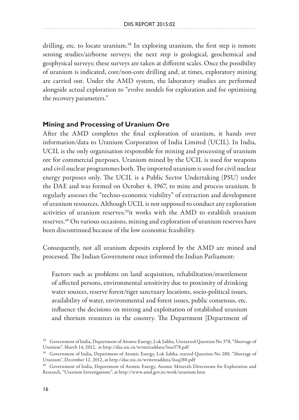drilling, etc. to locate uranium.<sup>38</sup> In exploring uranium, the first step is remote sensing studies/airborne surveys; the next step is geological, geochemical and geophysical surveys; these surveys are taken at different scales. Once the possibility of uranium is indicated, core/non-core drilling and, at times, exploratory mining are carried out. Under the AMD system, the laboratory studies are performed alongside actual exploration to "evolve models for exploration and for optimising the recovery parameters."

#### **Mining and Processing of Uranium Ore**

After the AMD completes the final exploration of uranium, it hands over information/data to Uranium Corporation of India Limited (UCIL). In India, UCIL is the only organisation responsible for mining and processing of uranium ore for commercial purposes. Uranium mined by the UCIL is used for weapons and civil nuclear programmes both. The imported uranium is used for civil nuclear energy purposes only. The UCIL is a Public Sector Undertaking (PSU) under the DAE and was formed on October 4, 1967, to mine and process uranium. It regularly assesses the "techno-economic viability" of extraction and development of uranium resources. Although UCIL is not supposed to conduct any exploration activities of uranium reserves;<sup>39</sup>it works with the AMD to establish uranium reserves.40 On various occasions, mining and exploration of uranium reserves have been discontinued because of the low economic feasibility.

Consequently, not all uranium deposits explored by the AMD are mined and processed. The Indian Government once informed the Indian Parliament:

Factors such as problems on land acquisition, rehabilitation/resettlement of affected persons, environmental sensitivity due to proximity of drinking water sources, reserve forest/tiger sanctuary locations, socio-political issues, availability of water, environmental and forest issues, public consensus, etc. influence the decisions on mining and exploitation of established uranium and thorium resources in the country. The Department [Department of

<sup>&</sup>lt;sup>38</sup> Government of India, Department of Atomic Energy, Lok Sabha, Unstarred Question No 378, "Shortage of<br>Uranium", March 14, 2012, at http://dae.nic.in/writereaddata/lsus378.pdf

<sup>&</sup>lt;sup>39</sup> Government of India, Department of Atomic Energy, Lok Sabha, starred Question No 280, "Shortage of Uranium", December 12, 2012, at http://dae.nic.in/writereaddata/lssq280.pdf

 $^{40}$  Government of India, Department of Atomic Energy, Atomic Minerals Directorate for Exploration and Research, "Uranium Investigations", at http://www.amd.gov.in/work/uranium.htm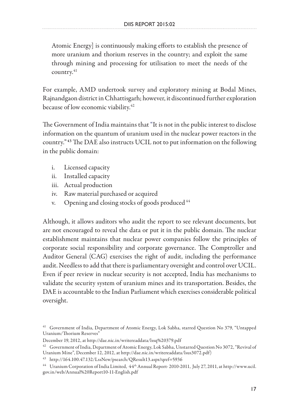Atomic Energy] is continuously making efforts to establish the presence of more uranium and thorium reserves in the country; and exploit the same through mining and processing for utilisation to meet the needs of the country.<sup>41</sup>

For example, AMD undertook survey and exploratory mining at Bodal Mines, Rajnandgaon district in Chhattisgarh; however, it discontinued further exploration because of low economic viability.<sup>42</sup>

The Government of India maintains that "It is not in the public interest to disclose information on the quantum of uranium used in the nuclear power reactors in the country." <sup>43</sup> The DAE also instructs UCIL not to put information on the following in the public domain:

- i. Licensed capacity
- ii. Installed capacity
- iii. Actual production
- iv. Raw material purchased or acquired
- v. Opening and closing stocks of goods produced 44

Although, it allows auditors who audit the report to see relevant documents, but are not encouraged to reveal the data or put it in the public domain. The nuclear establishment maintains that nuclear power companies follow the principles of corporate social responsibility and corporate governance. The Comptroller and Auditor General (CAG) exercises the right of audit, including the performance audit. Needless to add that there is parliamentary oversight and control over UCIL. Even if peer review in nuclear security is not accepted, India has mechanisms to validate the security system of uranium mines and its transportation. Besides, the DAE is accountable to the Indian Parliament which exercises considerable political oversight.

<sup>41</sup> Government of India, Department of Atomic Energy, Lok Sabha, starred Question No 379, "Untapped Uranium/Thorium Reserves"

December 19, 2012, at http://dae.nic.in/writereaddata/lssq%20379.pdf<br><sup>42</sup> Government of India, Department of Atomic Energy, Lok Sabha, Unstarred Question No 3072, "Revival of Uranium Mine", December 12, 2012, at http://dae.nic.in/writereaddata/lsus3072.pdf)

<sup>43</sup> http://164.100.47.132/LssNew/psearch/QResult13.aspx?qref=5936

<sup>44</sup> Uranium Corporation of India Limited, 44th Annual Report- 2010-2011, July 27, 2011, at http://www.ucil. gov.in/web/Annual%20Report10-11-English.pdf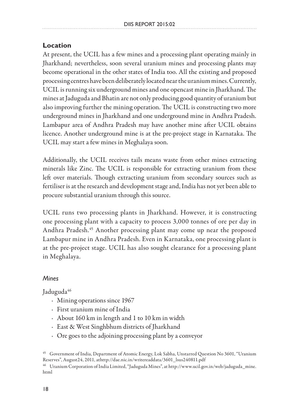### **Location**

At present, the UCIL has a few mines and a processing plant operating mainly in Jharkhand; nevertheless, soon several uranium mines and processing plants may become operational in the other states of India too. All the existing and proposed processing centres have been deliberately located near the uranium mines. Currently, UCIL is running six underground mines and one opencast mine in Jharkhand. The mines at Jaduguda and Bhatin are not only producing good quantity of uranium but also improving further the mining operation. The UCIL is constructing two more underground mines in Jharkhand and one underground mine in Andhra Pradesh. Lambapur area of Andhra Pradesh may have another mine after UCIL obtains licence. Another underground mine is at the pre-project stage in Karnataka. The UCIL may start a few mines in Meghalaya soon.

Additionally, the UCIL receives tails means waste from other mines extracting minerals like Zinc. The UCIL is responsible for extracting uranium from these left over materials. Though extracting uranium from secondary sources such as fertiliser is at the research and development stage and, India has not yet been able to procure substantial uranium through this source.

UCIL runs two processing plants in Jharkhand. However, it is constructing one processing plant with a capacity to process 3,000 tonnes of ore per day in Andhra Pradesh.<sup>45</sup> Another processing plant may come up near the proposed Lambapur mine in Andhra Pradesh. Even in Karnataka, one processing plant is at the pre-project stage. UCIL has also sought clearance for a processing plant in Meghalaya.

#### *Mines*

Jaduguda<sup>46</sup>

- · Mining operations since 1967
- · First uranium mine of India
- · About 160 km in length and 1 to 10 km in width
- · East & West Singhbhum districts of Jharkhand
- · Ore goes to the adjoining processing plant by a conveyor

 $^{46}$  Uranium Corporation of India Limited, "Jaduguda Mines", at http://www.ucil.gov.in/web/jaduguda\_mine. html

<sup>&</sup>lt;sup>45</sup> Government of India, Department of Atomic Energy, Lok Sabha, Unstarred Question No 3601, "Uranium<br>Reserves", August24, 2011, athttp://dae.nic.in/writereaddata/3601\_lsus240811.pdf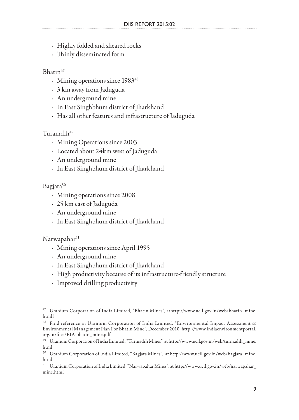- · Highly folded and sheared rocks
- · Thinly disseminated form

### Bhatin47

- Mining operations since 1983<sup>48</sup>
- · 3 km away from Jaduguda
- · An underground mine
- · In East Singhbhum district of Jharkhand
- · Has all other features and infrastructure of Jaduguda

### Turamdih<sup>49</sup>

- · Mining Operations since 2003
- · Located about 24km west of Jaduguda
- · An underground mine
- · In East Singhbhum district of Jharkhand

### Bagjata<sup>50</sup>

- · Mining operations since 2008
- · 25 km east of Jaduguda
- · An underground mine
- · In East Singhbhum district of Jharkhand

### Narwapahar<sup>51</sup>

- · Mining operations since April 1995
- · An underground mine
- · In East Singhbhum district of Jharkhand
- · High productivity because of its infrastructure-friendly structure
- · Improved drilling productivity

<sup>47</sup> Uranium Corporation of India Limited, "Bhatin Mines", athttp://www.ucil.gov.in/web/bhatin\_mine. htmll

<sup>48</sup> Find reference in Uranium Corporation of India Limited, "Environmental Impact Assessment & Environmental Management Plan For Bhatin Mine", December 2010, http://www.indiaenvironmentportal. org.in/files/EIA-bhatin\_mine.pdf

<sup>49</sup> Uranium Corporation of India Limited, "Turmadih Mines", at http://www.ucil.gov.in/web/turmadih\_mine. html

<sup>50</sup> Uranium Corporation of India Limited, "Bagjata Mines", at http://www.ucil.gov.in/web/bagjata\_mine. html

<sup>51</sup> Uranium Corporation of India Limited, "Narwapahar Mines", at http://www.ucil.gov.in/web/narwapahar\_ mine.html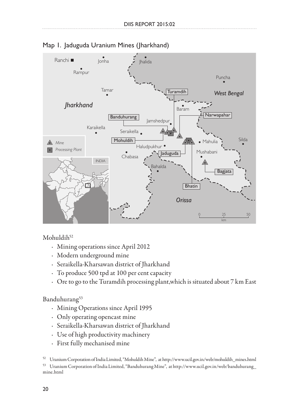



 $Mohuldih<sup>52</sup>$ 

- · Mining operations since April 2012
- · Modern underground mine
- · Seraikella-Kharsawan district of Jharkhand
- · To produce 500 tpd at 100 per cent capacity
- · Ore to go to the Turamdih processing plant,which is situated about 7 km East

### Banduhurang<sup>53</sup>

- · Mining Operations since April 1995
- · Only operating opencast mine
- · Seraikella-Kharsawan district of Jharkhand
- · Use of high productivity machinery
- · First fully mechanised mine

<sup>52</sup> Uranium Corporation of India Limited, "Mohuldih Mine", at http://www.ucil.gov.in/web/mohuldih\_mines.html 53 Uranium Corporation of India Limited, "Banduhurang Mine", at http://www.ucil.gov.in/web/banduhurang\_ mine.html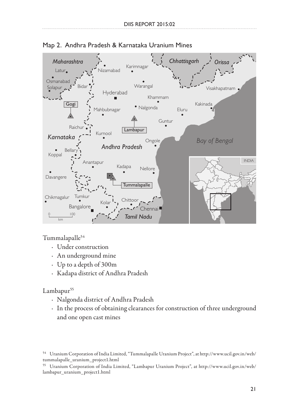



Tummalapalle54

- · Under construction
- · An underground mine
- · Up to a depth of 300m
- · Kadapa district of Andhra Pradesh

#### Lambapur<sup>55</sup>

- · Nalgonda district of Andhra Pradesh
- · In the process of obtaining clearances for construction of three underground and one open cast mines

<sup>54</sup> Uranium Corporation of India Limited, "Tummalapalle Uranium Project", at http://www.ucil.gov.in/web/ tummalapalle\_uranium\_project1.html

<sup>55</sup> Uranium Corporation of India Limited, "Lambapur Uranium Project", at http://www.ucil.gov.in/web/ lambapur\_uranium\_project1.html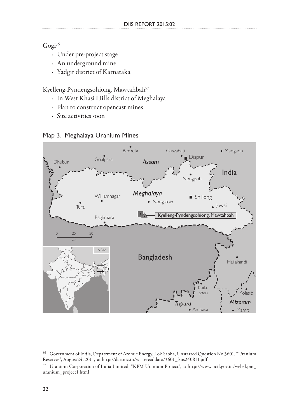Gogi<sup>56</sup>

- · Under pre-project stage
- · An underground mine
- · Yadgir district of Karnataka

Kyelleng-Pyndengsohiong, Mawtahbah57

- · In West Khasi Hills district of Meghalaya
- · Plan to construct opencast mines
- · Site activities soon





<sup>56</sup> Government of India, Department of Atomic Energy, Lok Sabha, Unstarred Question No 3601, "Uranium Reserves", August24, 2011, at http://dae.nic.in/writereaddata/3601\_lsus240811.pdf

<sup>57</sup> Uranium Corporation of India Limited, "KPM Uranium Project", at http://www.ucil.gov.in/web/kpm\_ uranium\_project1.html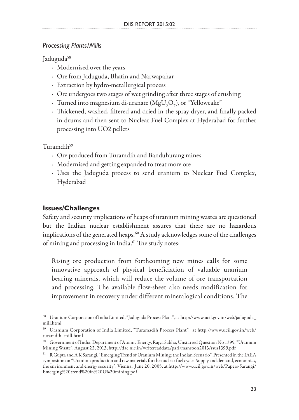#### *Processing Plants/Mills*

Jaduguda<sup>58</sup>

- · Modernised over the years
- · Ore from Jaduguda, Bhatin and Narwapahar
- · Extraction by hydro-metallurgical process
- · Ore undergoes two stages of wet grinding after three stages of crushing
- $\cdot$  Turned into magnesium di-uranate (MgU<sub>2</sub>O<sub>7</sub>), or "Yellowcake"
- · Thickened, washed, filtered and dried in the spray dryer, and finally packed in drums and then sent to Nuclear Fuel Complex at Hyderabad for further processing into UO2 pellets

Turamdih59

- · Ore produced from Turamdih and Banduhurang mines
- · Modernised and getting expanded to treat more ore
- · Uses the Jaduguda process to send uranium to Nuclear Fuel Complex, Hyderabad

#### **Issues/Challenges**

Safety and security implications of heaps of uranium mining wastes are questioned but the Indian nuclear establishment assures that there are no hazardous implications of the generated heaps.<sup>60</sup> A study acknowledges some of the challenges of mining and processing in India.<sup>61</sup> The study notes:

Rising ore production from forthcoming new mines calls for some innovative approach of physical beneficiation of valuable uranium bearing minerals, which will reduce the volume of ore transportation and processing. The available flow-sheet also needs modification for improvement in recovery under different mineralogical conditions. The

<sup>58</sup> Uranium Corporation of India Limited, "Jaduguda Process Plant", at http://www.ucil.gov.in/web/jaduguda\_ mill.html

<sup>59</sup> Uranium Corporation of India Limited, "Turamadih Process Plant", at http://www.ucil.gov.in/web/ turamdih\_mill.html

 $^{60}$  Government of India, Department of Atomic Energy, Rajya Sabha, Unstarred Question No 1399, "Uranium Mining Waste", August 22, 2013, http://dae.nic.in/writereaddata/parl/mansoon2013/rsus1399.pdf

<sup>61</sup> R Gupta and A K Sarangi, "Emerging Trend of Uranium Mining: the Indian Scenario", Presented in the IAEA symposium on "Uranium production and raw materials for the nuclear fuel cycle- Supply and demand, economics, the environment and energy security", Vienna, June 20, 2005, at http://www.ucil.gov.in/web/Papers-Sarangi/ Emerging%20trend%20in%20U%20mining.pdf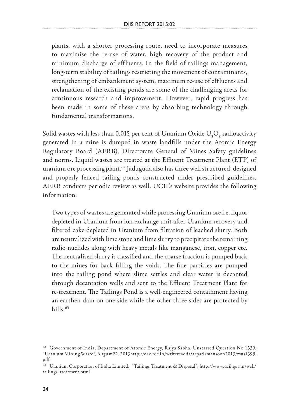plants, with a shorter processing route, need to incorporate measures to maximise the re-use of water, high recovery of the product and minimum discharge of effluents. In the field of tailings management, long-term stability of tailings restricting the movement of contaminants, strengthening of embankment system, maximum re-use of effluents and reclamation of the existing ponds are some of the challenging areas for continuous research and improvement. However, rapid progress has been made in some of these areas by absorbing technology through fundamental transformations.

Solid wastes with less than 0.015 per cent of Uranium Oxide  $\rm U^{}_3O^{}_8$  radioactivity generated in a mine is dumped in waste landfills under the Atomic Energy Regulatory Board (AERB), Directorate General of Mines Safety guidelines and norms. Liquid wastes are treated at the Effluent Treatment Plant (ETP) of uranium ore processing plant.<sup>62</sup> Jaduguda also has three well structured, designed and properly fenced tailing ponds constructed under prescribed guidelines. AERB conducts periodic review as well. UCIL's website provides the following information:

Two types of wastes are generated while processing Uranium ore i.e. liquor depleted in Uranium from ion exchange unit after Uranium recovery and filtered cake depleted in Uranium from filtration of leached slurry. Both are neutralized with lime stone and lime slurry to precipitate the remaining radio nuclides along with heavy metals like manganese, iron, copper etc. The neutralised slurry is classified and the coarse fraction is pumped back to the mines for back filling the voids. The fine particles are pumped into the tailing pond where slime settles and clear water is decanted through decantation wells and sent to the Effluent Treatment Plant for re-treatment. The Tailings Pond is a well-engineered containment having an earthen dam on one side while the other three sides are protected by hills $63$ 

<sup>&</sup>lt;sup>62</sup> Government of India, Department of Atomic Energy, Rajya Sabha, Unstarred Question No 1339, "Uranium Mining Waste", August 22, 2013http://dae.nic.in/writereaddata/parl/mansoon2013/rsus1399. pdf

<sup>63</sup> Uranium Corporation of India Limited, "Tailings Treatment & Disposal", http://www.ucil.gov.in/web/ tailings\_treatment.html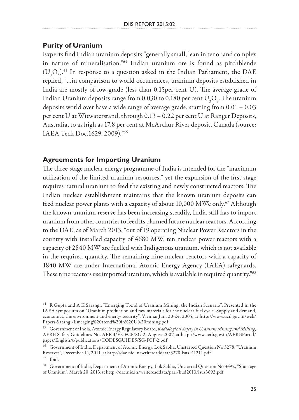#### **Purity of Uranium**

Experts find Indian uranium deposits "generally small, lean in tenor and complex in nature of mineralisation."64 Indian uranium ore is found as pitchblende  $(\mathrm{U}_3\mathrm{O}_8)^{.65}$  In response to a question asked in the Indian Parliament, the DAE replied, "…in comparison to world occurrences, uranium deposits established in India are mostly of low-grade (less than 0.15per cent U). The average grade of Indian Uranium deposits range from 0.030 to 0.180 per cent  ${\rm U}_{\rm 3} {\rm O}_{\rm 8}$ . The uranium deposits world over have a wide range of average grade, starting from 0.01 – 0.03 per cent U at Witwatersrand, through 0.13 – 0.22 per cent U at Ranger Deposits, Australia, to as high as 17.8 per cent at McArthur River deposit, Canada (source: IAEA Tech Doc.1629, 2009)."66

#### **Agreements for Importing Uranium**

The three-stage nuclear energy programme of India is intended for the "maximum utilization of the limited uranium resources," yet the expansion of the first stage requires natural uranium to feed the existing and newly constructed reactors. The Indian nuclear establishment maintains that the known uranium deposits can feed nuclear power plants with a capacity of about 10,000 MWe only.<sup>67</sup> Although the known uranium reserve has been increasing steadily, India still has to import uranium from other countries to feed its planned future nuclear reactors. According to the DAE, as of March 2013, "out of 19 operating Nuclear Power Reactors in the country with installed capacity of 4680 MW, ten nuclear power reactors with a capacity of 2840 MW are fuelled with Indigenous uranium, which is not available in the required quantity. The remaining nine nuclear reactors with a capacity of 1840 MW are under International Atomic Energy Agency (IAEA) safeguards. These nine reactors use imported uranium, which is available in required quantity."<sup>68</sup>

<sup>64</sup> R Gupta and A K Sarangi, "Emerging Trend of Uranium Mining: the Indian Scenario", Presented in the IAEA symposium on "Uranium production and raw materials for the nuclear fuel cycle- Supply and demand, economics, the environment and energy security", Vienna; Jun. 20-24, 2005, at http://www.ucil.gov.in/web/ Papers-Sarangi/Emerging%20trend%20in%20U%20mining.pdf

<sup>65</sup> Government of India, Atomic Energy Regulatory Board, *Radiological Safety in Uranium Mining and Milling,*  AERB Safety Guidelines No. AERB/FE-FCF/SG-2, August 2007, at http://www.aerb.gov.in/AERBPortal/ pages/English/t/publications/CODESGUIDES/SG-FCF-2.pdf

<sup>66</sup> Government of India, Department of Atomic Energy, Lok Sabha, Unstarred Question No 3278, "Uranium Reserves", December 14, 2011, at http://dae.nic.in/writereaddata/3278-lsus141211.pdf  $^{67}$  Ibid.

<sup>68</sup> Government of India, Department of Atomic Energy, Lok Sabha, Unstarred Question No 3692, "Shortage of Uranium", March 20, 2013,at http://dae.nic.in/writereaddata/parl/bud2013/lsus3692.pdf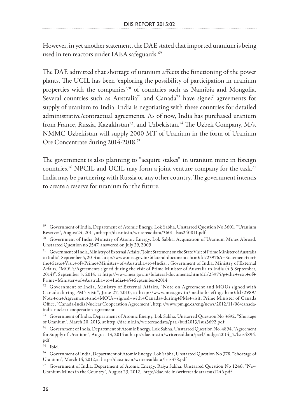However, in yet another statement, the DAE stated that imported uranium is being used in ten reactors under IAEA safeguards.<sup>69</sup>

The DAE admitted that shortage of uranium affects the functioning of the power plants. The UCIL has been 'exploring the possibility of participation in uranium properties with the companies'70 of countries such as Namibia and Mongolia. Several countries such as Australia<sup>71</sup> and Canada<sup>72</sup> have signed agreements for supply of uranium to India. India is negotiating with these countries for detailed administrative/contractual agreements. As of now, India has purchased uranium from France, Russia, Kazakhstan<sup>73</sup>, and Uzbekistan.<sup>74</sup> The Uzbek Company, M/s. NMMC Uzbekistan will supply 2000 MT of Uranium in the form of Uranium Ore Concentrate during 2014-2018.75

The government is also planning to "acquire stakes" in uranium mine in foreign countries.<sup>76</sup> NPCIL and UCIL may form a joint venture company for the task.<sup>77</sup> India may be partnering with Russia or any other country. The government intends to create a reserve for uranium for the future.

 $75$  Ibid.

<sup>&</sup>lt;sup>69</sup> Government of India, Department of Atomic Energy, Lok Sabha, Unstarred Question No 3601, "Uranium Reserves", August 24, 2011, athttp://dae.nic.in/writereaddata/3601\_lsus240811.pdf

 $70$  Government of India, Ministry of Atomic Energy, Lok Sabha, Acquisition of Uranium Mines Abroad, Unstarred Question no 3547, answered on July 29, 2009

<sup>71</sup> Government of India, Ministry of External Affairs, "Joint Statement on the State Visit of Prime Minister of Australia to India", September 5, 2014 at http://www.mea.gov.in/bilateral-documents.htm?dtl/23976/t+Statement+on+ the+State+Visit+of+Prime+Minister+of+Australia+to+India; , Government of India, Ministry of External Affairs, "MOUs/Agreements signed during the visit of Prime Minister of Australia to India (4-5 September, 2014)", September 5, 2014, at http://www.mea.gov.in/bilateral-documents.htm?dtl/23975/g+the+visit+of+ Prime+Minister+of+Australia+to+India+45+September+2014

 $72$  Government of India, Ministry of External Affairs, "Note on Agreement and MOUs signed with Canada during PM's visit", June 27, 2010, at http://www.mea.gov.in/media-briefings.htm?dtl/2989/ Note+on+Agreement+and+MOUs+signed+with+Canada+during+PMs+visit; Prime Minister of Canada Office, "Canada-India Nuclear Cooperation Agreement", http://www.pm.gc.ca/eng/news/2012/11/06/canadaindia-nuclear-cooperation-agreement

<sup>73</sup> Government of India, Department of Atomic Energy, Lok Sabha, Unstarred Question No 3692, "Shortage

 $^{74}$  Government of India, Department of Atomic Energy, Lok Sabha, Unstarred Question No. 4894, "Agreement for Supply of Uranium", August 13, 2014 at http://dae.nic.in/writereaddata/parl/budget2014\_2/lsus4894. pdf

<sup>76</sup> Government of India, Department of Atomic Energy, Lok Sabha, Unstarred Question No 378, "Shortage of Uranium", March 14, 2012,at http://dae.nic.in/writereaddata/lsus378.pdf

<sup>77</sup> Government of India, Department of Atomic Energy, Rajya Sabha, Unstarred Question No 1246, "New Uranium Mines in the Country", August 23, 2012, http://dae.nic.in/writereaddata/rsus1246.pdf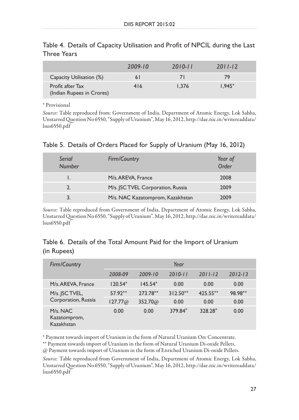|                                               | 2009-10 | $2010 - 11$ | $2011 - 12$ |  |
|-----------------------------------------------|---------|-------------|-------------|--|
| Capacity Utilisation (%)                      | 6 I     |             | 79          |  |
| Profit after Tax<br>(Indian Rupees in Crores) | 416     | 1.376       | $1.945*$    |  |

Table 4. Details of Capacity Utilisation and Profit of NPCIL during the Last Three Years

\* Provisional

*Source:* Table reproduced from: Government of India, Department of Atomic Energy, Lok Sabha, Unstarred Question No 6550, "Supply of Uranium", May 16, 2012, http://dae.nic.in/writereaddata/ lsus6550.pdf

| Serial<br><b>Number</b> | Firm/Country                     | Year of<br>Order |
|-------------------------|----------------------------------|------------------|
|                         | M/s. AREVA, France               | 2008             |
| $\mathbf{2}$            | M/s. SC TVEL Corporation, Russia | 2009             |
|                         | M/s. NAC Kazatomprom, Kazakhstan | 2009             |

*Source:* Table reproduced from Government of India, Department of Atomic Energy, Lok Sabha, Unstarred Question No 6550, "Supply of Uranium", May 16, 2012, http://dae.nic.in/writereaddata/ lsus6550.pdf

### Table 6. Details of the Total Amount Paid for the Import of Uranium (in Rupees)

| Firm/Country                               |           |                | Year        |             |             |
|--------------------------------------------|-----------|----------------|-------------|-------------|-------------|
|                                            | 2008-09   | $2009 - 10$    | $2010 - 11$ | $2011 - 12$ | $2012 - 13$ |
| M/s.AREVA, France                          | $120.54*$ | $145.54*$      | 0.00        | 0.00        | 0.00        |
| M/s. JSC TVEL,                             | $57.92**$ | 273.78**       | $312.50**$  | 425.55**    | 98.98**     |
| Corporation, Russia                        | 127.77@   | $352.70\omega$ | 0.00        | 0.00        | 0.00        |
| $M/s$ . NAC.<br>Kazatomprom,<br>Kazakhstan | 0.00      | 0.00           | 379.84*     | 328.28*     | 0.00        |

\* Payment towards import of Uranium in the form of Natural Uranium Ore Concentrate.

\*\* Payment towards import of Uranium in the form of Natural Uranium Di-oxide Pellets.

@ Payment towards import of Uranium in the form of Enriched Uranium Di-oxide Pellets.

*Source:* Table reproduced from Government of India, Department of Atomic Energy, Lok Sabha, Unstarred Question No 6550, "Supply of Uranium", May 16, 2012, http://dae.nic.in/writereaddata/ lsus6550.pdf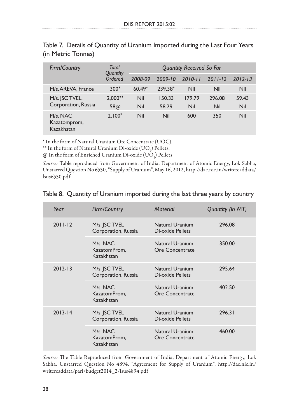| Firm/Country                              | Total<br>Quantity | <b>Quantity Received So Far</b> |             |             |             |             |  |
|-------------------------------------------|-------------------|---------------------------------|-------------|-------------|-------------|-------------|--|
|                                           | Ordered           | 2008-09                         | $2009 - 10$ | $2010 - 11$ | $2011 - 12$ | $2012 - 13$ |  |
| M/s.AREVA, France                         | $300*$            | $60.49*$                        | 239.38*     | Nil         | Nil         | Nil         |  |
| M/s. JSC TVEL,                            | $2.000**$         | Nil                             | 150.33      | 179.79      | 296.08      | 59.43       |  |
| Corporation, Russia                       | $58\omega$        | Nil                             | 58.29       | Nil         | Nil         | Nil         |  |
| $M/s$ , NAC<br>Kazatomprom,<br>Kazakhstan | $2.100*$          | Nil                             | Nil         | 600         | 350         | Nil         |  |

Table 7. Details of Quantity of Uranium Imported during the Last Four Years (in Metric Tonnes)

\* In the form of Natural Uranium Ore Concentrate (UOC).

\*\* In the form of Natural Uranium Di-oxide  $(UO_2)$  Pellets.

 $\oslash$  In the form of Enriched Uranium Di-oxide  $(\mathrm{UO}_2)$  Pellets

*Source:* Table reproduced from Government of India, Department of Atomic Energy, Lok Sabha, Unstarred Question No 6550, "Supply of Uranium", May 16, 2012, http://dae.nic.in/writereaddata/ lsus6550.pdf

| Year        | Firm/Country                               | <b>Material</b>                     | Quantity (in MT) |
|-------------|--------------------------------------------|-------------------------------------|------------------|
| $2011 - 12$ | M/s. JSC TVEL<br>Corporation, Russia       | Natural Uranium<br>Di-oxide Pellets | 296.08           |
|             | $M/s$ . NAC.<br>KazatomProm,<br>Kazakhstan | Natural Uranium<br>Ore Concentrate  | 350.00           |
| $2012 - 13$ | M/s. JSC TVEL<br>Corporation, Russia       | Natural Uranium<br>Di-oxide Pellets | 295.64           |
|             | M/s. NAC<br>KazatomProm,<br>Kazakhstan     | Natural Uranium<br>Ore Concentrate  | 402.50           |
| $2013 - 14$ | M/s. JSC TVEL<br>Corporation, Russia       | Natural Uranium<br>Di-oxide Pellets | 296.31           |
|             | M/s. NAC<br>KazatomProm,<br>Kazakhstan     | Natural Uranium<br>Ore Concentrate  | 460.00           |

#### Table 8. Quantity of Uranium imported during the last three years by country

*Source:* The Table Reproduced from Government of India, Department of Atomic Energy, Lok Sabha, Unstarred Question No 4894, "Agreement for Supply of Uranium", http://dae.nic.in/ writereaddata/parl/budget2014\_2/lsus4894.pdf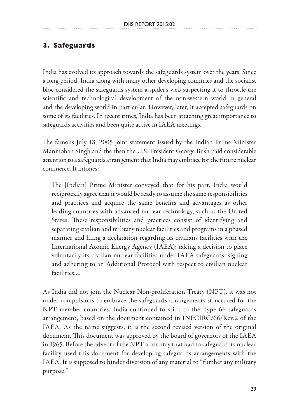### **3. Safeguards**

India has evolved its approach towards the safeguards system over the years. Since a long period, India along with many other developing countries and the socialist bloc considered the safeguards system a spider's web suspecting it to throttle the scientific and technological development of the non-western world in general and the developing world in particular. However, later, it accepted safeguards on some of its facilities. In recent times, India has been attaching great importance to safeguards activities and been quite active in IAEA meetings.

The famous July 18, 2005 joint statement issued by the Indian Prime Minister Manmohan Singh and the then the U.S. President George Bush paid considerable attention to a safeguards arrangement that India may embrace for the future nuclear commerce. It intones:

The [Indian] Prime Minister conveyed that for his part, India would reciprocally agree that it would be ready to assume the same responsibilities and practices and acquire the same benefits and advantages as other leading countries with advanced nuclear technology, such as the United States. These responsibilities and practices consist of identifying and separating civilian and military nuclear facilities and programs in a phased manner and filing a declaration regarding its civilians facilities with the International Atomic Energy Agency (IAEA); taking a decision to place voluntarily its civilian nuclear facilities under IAEA safeguards; signing and adhering to an Additional Protocol with respect to civilian nuclear facilities….

As India did not join the Nuclear Non-proliferation Treaty (NPT), it was not under compulsions to embrace the safeguards arrangements structured for the NPT member countries. India continued to stick to the Type 66 safeguards arrangement, based on the document contained in INFCIRC/66/Rev.2 of the IAEA. As the name suggests, it is the second revised version of the original document. This document was approved by the board of governors of the IAEA in 1965. Before the advent of the NPT a country that had to safeguard its nuclear facility used this document for developing safeguards arrangements with the IAEA. It is supposed to hinder diversion of any material to "further any military purpose."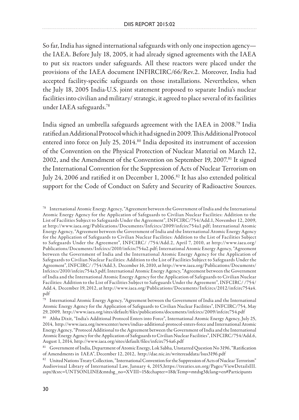So far, India has signed international safeguards with only one inspection agency the IAEA. Before July 18, 2005, it had already signed agreements with the IAEA to put six reactors under safeguards. All these reactors were placed under the provisions of the IAEA document INFIRCIRC/66/Rev.2. Moreover, India had accepted facility-specific safeguards on those installations. Nevertheless, when the July 18, 2005 India-U.S. joint statement proposed to separate India's nuclear facilities into civilian and military/ strategic, it agreed to place several of its facilities under IAEA safeguards.78

India signed an umbrella safeguards agreement with the IAEA in 2008.79 India ratified an Additional Protocol which it had signed in 2009. This Additional Protocol entered into force on July 25, 2014.<sup>80</sup> India deposited its instrument of accession of the Convention on the Physical Protection of Nuclear Material on March 12, 2002, and the Amendment of the Convention on September 19, 2007.<sup>81</sup> It signed the International Convention for the Suppression of Acts of Nuclear Terrorism on July 24, 2006 and ratified it on December 1, 2006.<sup>82</sup> It has also extended political support for the Code of Conduct on Safety and Security of Radioactive Sources.

<sup>78</sup> International Atomic Energy Agency, "Agreement between the Government of India and the International Atomic Energy Agency for the Application of Safeguards to Civilian Nuclear Facilities: Addition to the List of Facilities Subject to Safeguards Under the Agreement", INFCIRC/754/Add.1, November 12, 2009, at http://www.iaea.org/Publications/Documents/Infcircs/2009/infcirc754a1.pdf; International Atomic Energy Agency, "Agreement between the Government of India and the International Atomic Energy Agency for the Application of Safeguards to Civilian Nuclear Facilities: Addition to the List of Facilities Subject to Safeguards Under the Agreement", INFCIRC/ /754/Add.2, April 7, 2010, at http://www.iaea.org/ Publications/Documents/Infcircs/2010/infcirc754a2.pdf; International Atomic Energy Agency, "Agreement between the Government of India and the International Atomic Energy Agency for the Application of Safeguards to Civilian Nuclear Facilities: Addition to the List of Facilities Subject to Safeguards Under the Agreement", INFCIRC/ /754/Add.3, December 16, 2010, at http://www.iaea.org/Publications/Documents/ Infcircs/2010/infcirc754a3.pdf; International Atomic Energy Agency, "Agreement between the Government of India and the International Atomic Energy Agency for the Application of Safeguards to Civilian Nuclear Facilities: Addition to the List of Facilities Subject to Safeguards Under the Agreement", INFCIRC/ /754/ Add.4, December 19, 2012, at http://www.iaea.org/Publications/Documents/Infcircs/2012/infcirc754a4. pdf

<sup>79</sup> International Atomic Energy Agency, "Agreement between the Government of India and the International Atomic Energy Agency for the Application of Safeguards to Civilian Nuclear Facilities", INFCIRC/754, May 29, 2009, http://www.iaea.org/sites/default/files/publications/documents/infcircs/2009/infcirc754.pdf

<sup>80</sup> Abha Dixit, "India's Additional Protocol Enters into Force", International Atomic Energy Agency, July 25, 2014, http://www.iaea.org/newscenter/news/indias-additional-protocol-enters-force and International Atomic Energy Agency, "Protocol Additional to the Agreement between the Government of India and the International Atomic Energy Agency for the Application of Safeguards to Civilian Nuclear Facilities", INFCIRC/754/Add.6, August 1, 2014, http://www.iaea.org/sites/default/files/infcirc754a6.pdf

<sup>81</sup> Government of India, Department of Atomic Energy, Lok Sabha, Unstarred Question No 3196, "Ratification of Amendments in IAEA", December 12, 2012, http://dae.nic.in/writereaddata/lsus3196.pdf

<sup>82</sup> United Nations Treaty Collection, "International Convention for the Suppression of Acts of Nuclear Terrorism" Audiovisual Library of International Law, January 4, 2015,https://treaties.un.org/Pages/ViewDetailsIII. aspx?&src=UNTSONLINE&mtdsg\_no=XVIII~15&chapter=18&Temp=mtdsg3&lang=en#Participants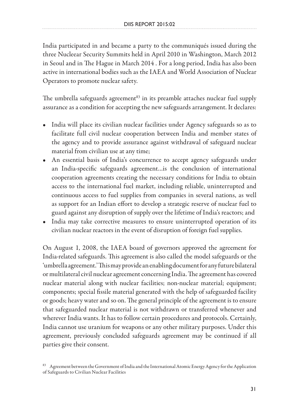India participated in and became a party to the communiqués issued during the three Nucleear Security Summits held in April 2010 in Washington, March 2012 in Seoul and in The Hague in March 2014 . For a long period, India has also been active in international bodies such as the IAEA and World Association of Nuclear Operators to promote nuclear safety.

The umbrella safeguards agreement<sup>83</sup> in its preamble attaches nuclear fuel supply assurance as a condition for accepting the new safeguards arrangement. It declares:

- India will place its civilian nuclear facilities under Agency safeguards so as to facilitate full civil nuclear cooperation between India and member states of the agency and to provide assurance against withdrawal of safeguard nuclear material from civilian use at any time;
- An essential basis of India's concurrence to accept agency safeguards under an India-specific safeguards agreement…is the conclusion of international cooperation agreements creating the necessary conditions for India to obtain access to the international fuel market, including reliable, uninterrupted and continuous access to fuel supplies from companies in several nations, as well as support for an Indian effort to develop a strategic reserve of nuclear fuel to guard against any disruption of supply over the lifetime of India's reactors; and
- India may take corrective measures to ensure uninterrupted operation of its civilian nuclear reactors in the event of disruption of foreign fuel supplies.

On August 1, 2008, the IAEA board of governors approved the agreement for India-related safeguards. This agreement is also called the model safeguards or the 'umbrella agreement.' This may provide an enabling document for any future bilateral or multilateral civil nuclear agreement concerning India. The agreement has covered nuclear material along with nuclear facilities; non-nuclear material; equipment; components; special fissile material generated with the help of safeguarded facility or goods; heavy water and so on. The general principle of the agreement is to ensure that safeguarded nuclear material is not withdrawn or transferred whenever and wherever India wants. It has to follow certain procedures and protocols. Certainly, India cannot use uranium for weapons or any other military purposes. Under this agreement, previously concluded safeguards agreement may be continued if all parties give their consent.

<sup>83</sup> Agreement between the Government of India and the International Atomic Energy Agency for the Application of Safeguards to Civilian Nuclear Facilities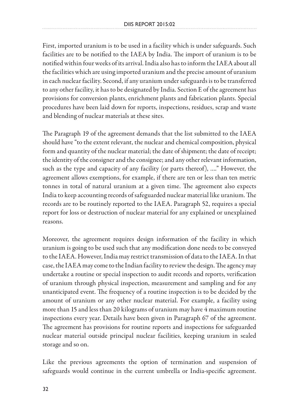First, imported uranium is to be used in a facility which is under safeguards. Such facilities are to be notified to the IAEA by India. The import of uranium is to be notified within four weeks of its arrival. India also has to inform the IAEA about all the facilities which are using imported uranium and the precise amount of uranium in each nuclear facility. Second, if any uranium under safeguards is to be transferred to any other facility, it has to be designated by India. Section E of the agreement has provisions for conversion plants, enrichment plants and fabrication plants. Special procedures have been laid down for reports, inspections, residues, scrap and waste and blending of nuclear materials at these sites.

The Paragraph 19 of the agreement demands that the list submitted to the IAEA should have "to the extent relevant, the nuclear and chemical composition, physical form and quantity of the nuclear material; the date of shipment; the date of receipt; the identity of the consigner and the consignee; and any other relevant information, such as the type and capacity of any facility (or parts thereof), …." However, the agreement allows exemptions, for example, if there are ten or less than ten metric tonnes in total of natural uranium at a given time. The agreement also expects India to keep accounting records of safeguarded nuclear material like uranium. The records are to be routinely reported to the IAEA. Paragraph 52, requires a special report for loss or destruction of nuclear material for any explained or unexplained reasons.

Moreover, the agreement requires design information of the facility in which uranium is going to be used such that any modification done needs to be conveyed to the IAEA. However, India may restrict transmission of data to the IAEA. In that case, the IAEA may come to the Indian facility to review the design. The agency may undertake a routine or special inspection to audit records and reports, verification of uranium through physical inspection, measurement and sampling and for any unanticipated event. The frequency of a routine inspection is to be decided by the amount of uranium or any other nuclear material. For example, a facility using more than 15 and less than 20 kilograms of uranium may have 4 maximum routine inspections every year. Details have been given in Paragraph 67 of the agreement. The agreement has provisions for routine reports and inspections for safeguarded nuclear material outside principal nuclear facilities, keeping uranium in sealed storage and so on.

Like the previous agreements the option of termination and suspension of safeguards would continue in the current umbrella or India-specific agreement.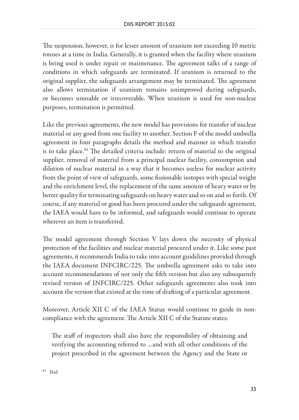The suspension, however, is for lesser amount of uranium not exceeding 10 metric tonnes at a time in India. Generally, it is granted when the facility where uranium is being used is under repair or maintenance. The agreement talks of a range of conditions in which safeguards are terminated. If uranium is returned to the original supplier, the safeguards arrangement may be terminated. The agreement also allows termination if uranium remains unimproved during safeguards, or becomes unusable or irrecoverable. When uranium is used for non-nuclear purposes, termination is permitted.

Like the previous agreements, the new model has provisions for transfer of nuclear material or any good from one facility to another. Section F of the model umbrella agreement in four paragraphs details the method and manner in which transfer is to take place.<sup>84</sup> The detailed criteria include: return of material to the original supplier, removal of material from a principal nuclear facility, consumption and dilution of nuclear material in a way that it becomes useless for nuclear activity from the point of view of safeguards, some fissionable isotopes with special weight and the enrichment level, the replacement of the same amount of heavy water or by better quality for terminating safeguards on heavy water and so on and so forth. Of course, if any material or good has been procured under the safeguards agreement, the IAEA would have to be informed, and safeguards would continue to operate wherever an item is transferred.

The model agreement through Section V lays down the necessity of physical protection of the facilities and nuclear material procured under it. Like some past agreements, it recommends India to take into account guidelines provided through the IAEA document INFCIRC/225. The umbrella agreement asks to take into account recommendations of not only the fifth version but also any subsequently revised version of INFCIRC/225. Other safeguards agreements also took into account the version that existed at the time of drafting of a particular agreement.

Moreover, Article XII C of the IAEA Statue would continue to guide in noncompliance with the agreement. The Article XII C of the Statute states:

The staff of inspectors shall also have the responsibility of obtaining and verifying the accounting referred to …and with all other conditions of the project prescribed in the agreement between the Agency and the State or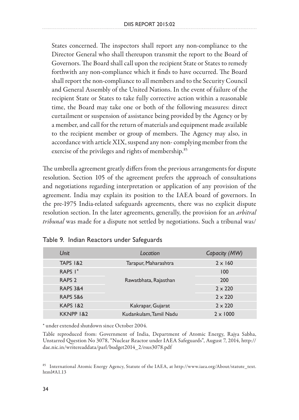States concerned. The inspectors shall report any non-compliance to the Director General who shall thereupon transmit the report to the Board of Governors. The Board shall call upon the recipient State or States to remedy forthwith any non-compliance which it finds to have occurred. The Board shall report the non-compliance to all members and to the Security Council and General Assembly of the United Nations. In the event of failure of the recipient State or States to take fully corrective action within a reasonable time, the Board may take one or both of the following measures: direct curtailment or suspension of assistance being provided by the Agency or by a member, and call for the return of materials and equipment made available to the recipient member or group of members. The Agency may also, in accordance with article XIX, suspend any non- complying member from the exercise of the privileges and rights of membership.<sup>85</sup>

The umbrella agreement greatly differs from the previous arrangements for dispute resolution. Section 105 of the agreement prefers the approach of consultations and negotiations regarding interpretation or application of any provision of the agreement. India may explain its position to the IAEA board of governors. In the pre-1975 India-related safeguards agreements, there was no explicit dispute resolution section. In the later agreements, generally, the provision for an *arbitral tribunal* was made for a dispute not settled by negotiations. Such a tribunal was/

| Unit                 | Location               | Capacity (MW)   |
|----------------------|------------------------|-----------------|
| <b>TAPS 1&amp;2</b>  | Tarapur, Maharashtra   | $2 \times 160$  |
| RAPS $I^*$           | Rawatbhata, Rajasthan  | 100             |
| RAPS <sub>2</sub>    |                        | 200             |
| <b>RAPS 3&amp;4</b>  |                        | $2 \times 220$  |
| <b>RAPS 5&amp;6</b>  |                        | $2 \times 220$  |
| <b>KAPS 1&amp;2</b>  | Kakrapar, Gujarat      | $2 \times 220$  |
| <b>KKNPP 1&amp;2</b> | Kudankulam, Tamil Nadu | $2 \times 1000$ |

#### Table 9. Indian Reactors under Safeguards

\* under extended shutdown since October 2004.

Table reproduced from: Government of India, Department of Atomic Energy, Rajya Sabha, Unstarred Question No 3078, "Nuclear Reactor under IAEA Safeguards", August 7, 2014, http:// dae.nic.in/writereaddata/parl/budget2014\_2/rsus3078.pdf

<sup>85</sup> International Atomic Energy Agency, Statute of the IAEA, at http://www.iaea.org/About/statute\_text. html#A1.13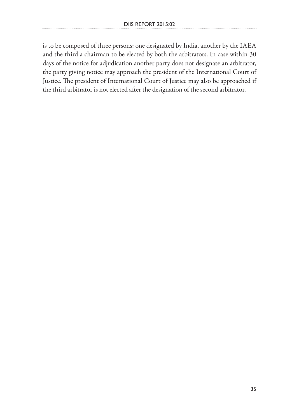is to be composed of three persons: one designated by India, another by the IAEA and the third a chairman to be elected by both the arbitrators. In case within 30 days of the notice for adjudication another party does not designate an arbitrator, the party giving notice may approach the president of the International Court of Justice. The president of International Court of Justice may also be approached if the third arbitrator is not elected after the designation of the second arbitrator.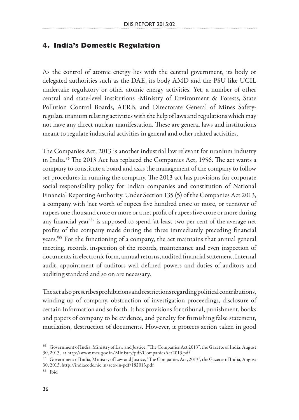#### **4. India's Domestic Regulation**

As the control of atomic energy lies with the central government, its body or delegated authorities such as the DAE, its body AMD and the PSU like UCIL undertake regulatory or other atomic energy activities. Yet, a number of other central and state-level institutions -Ministry of Environment & Forests, State Pollution Control Boards, AERB, and Directorate General of Mines Safetyregulate uranium relating activities with the help of laws and regulations which may not have any direct nuclear manifestation. These are general laws and institutions meant to regulate industrial activities in general and other related activities.

The Companies Act, 2013 is another industrial law relevant for uranium industry in India.86 The 2013 Act has replaced the Companies Act, 1956. The act wants a company to constitute a board and asks the management of the company to follow set procedures in running the company. The 2013 act has provisions for corporate social responsibility policy for Indian companies and constitution of National Financial Reporting Authority. Under Section 135 (5) of the Companies Act 2013, a company with 'net worth of rupees five hundred crore or more, or turnover of rupees one thousand crore or more or a net profit of rupees five crore or more during any financial year'87 is supposed to spend 'at least two per cent of the average net profits of the company made during the three immediately preceding financial years.'88 For the functioning of a company, the act maintains that annual general meeting, records, inspection of the records, maintenance and even inspection of documents in electronic form, annual returns, audited financial statement, Internal audit, appointment of auditors well defined powers and duties of auditors and auditing standard and so on are necessary.

The act also prescribes prohibitions and restrictions regarding political contributions, winding up of company, obstruction of investigation proceedings, disclosure of certain Information and so forth. It has provisions for tribunal, punishment, books and papers of company to be evidence, and penalty for furnishing false statement, mutilation, destruction of documents. However, it protects action taken in good

<sup>86</sup> Government of India, Ministry of Law and Justice, "The Companies Act 2013", the Gazette of India, August 30, 2013, at http://www.mca.gov.in/Ministry/pdf/CompaniesAct2013.pdf

<sup>87</sup> Government of India, Ministry of Law and Justice, "The Companies Act, 2013", the Gazette of India, August 30, 2013, http://indiacode.nic.in/acts-in-pdf/182013.pdf

<sup>88</sup> Ibid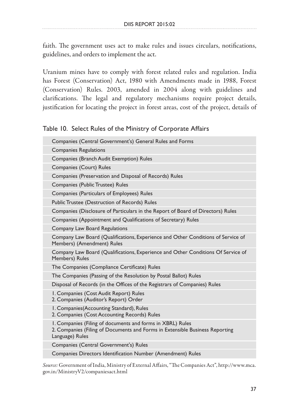faith. The government uses act to make rules and issues circulars, notifications, guidelines, and orders to implement the act.

Uranium mines have to comply with forest related rules and regulation. India has Forest (Conservation) Act, 1980 with Amendments made in 1988, Forest (Conservation) Rules. 2003, amended in 2004 along with guidelines and clarifications. The legal and regulatory mechanisms require project details, justification for locating the project in forest areas, cost of the project, details of

### Table 10. Select Rules of the Ministry of Corporate Affairs

| Companies (Central Government's) General Rules and Forms                                                                                                      |
|---------------------------------------------------------------------------------------------------------------------------------------------------------------|
| <b>Companies Regulations</b>                                                                                                                                  |
| Companies (Branch Audit Exemption) Rules                                                                                                                      |
| Companies (Court) Rules                                                                                                                                       |
| Companies (Preservation and Disposal of Records) Rules                                                                                                        |
| Companies (Public Trustee) Rules                                                                                                                              |
| Companies (Particulars of Employees) Rules                                                                                                                    |
| Public Trustee (Destruction of Records) Rules                                                                                                                 |
| Companies (Disclosure of Particulars in the Report of Board of Directors) Rules                                                                               |
| Companies (Appointment and Qualifications of Secretary) Rules                                                                                                 |
| Company Law Board Regulations                                                                                                                                 |
| Company Law Board (Qualifications, Experience and Other Conditions of Service of<br>Members) (Amendment) Rules                                                |
| Company Law Board (Qualifications, Experience and Other Conditions Of Service of<br>Members) Rules                                                            |
|                                                                                                                                                               |
| The Companies (Compliance Certificate) Rules                                                                                                                  |
| The Companies (Passing of the Resolution by Postal Ballot) Rules                                                                                              |
| Disposal of Records (in the Offices of the Registrars of Companies) Rules                                                                                     |
| I. Companies (Cost Audit Report) Rules<br>2. Companies (Auditor's Report) Order                                                                               |
| I. Companies (Accounting Standard), Rules<br>2. Companies (Cost Accounting Records) Rules                                                                     |
| I. Companies (Filing of documents and forms in XBRL) Rules<br>2. Companies (Filing of Documents and Forms in Extensible Business Reporting<br>Language) Rules |
| Companies (Central Government's) Rules                                                                                                                        |
| Companies Directors Identification Number (Amendment) Rules                                                                                                   |

*Source:* Government of India, Ministry of External Affairs, "The Companies Act", http://www.mca. gov.in/MinistryV2/companiesact.html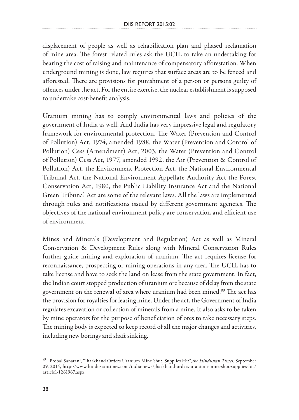displacement of people as well as rehabilitation plan and phased reclamation of mine area. The forest related rules ask the UCIL to take an undertaking for bearing the cost of raising and maintenance of compensatory afforestation. When underground mining is done, law requires that surface areas are to be fenced and afforested. There are provisions for punishment of a person or persons guilty of offences under the act. For the entire exercise, the nuclear establishment is supposed to undertake cost-benefit analysis.

Uranium mining has to comply environmental laws and policies of the government of India as well. And India has very impressive legal and regulatory framework for environmental protection. The Water (Prevention and Control of Pollution) Act, 1974, amended 1988, the Water (Prevention and Control of Pollution) Cess (Amendment) Act, 2003, the Water (Prevention and Control of Pollution) Cess Act, 1977, amended 1992, the Air (Prevention & Control of Pollution) Act, the Environment Protection Act, the National Environmental Tribunal Act, the National Environment Appellate Authority Act the Forest Conservation Act, 1980, the Public Liability Insurance Act and the National Green Tribunal Act are some of the relevant laws. All the laws are implemented through rules and notifications issued by different government agencies. The objectives of the national environment policy are conservation and efficient use of environment.

Mines and Minerals (Development and Regulation) Act as well as Mineral Conservation & Development Rules along with Mineral Conservation Rules further guide mining and exploration of uranium. The act requires license for reconnaissance, prospecting or mining operations in any area. The UCIL has to take license and have to seek the land on lease from the state government. In fact, the Indian court stopped production of uranium ore because of delay from the state government on the renewal of area where uranium had been mined.<sup>89</sup> The act has the provision for royalties for leasing mine. Under the act, the Government of India regulates excavation or collection of minerals from a mine. It also asks to be taken by mine operators for the purpose of beneficiation of ores to take necessary steps. The mining body is expected to keep record of all the major changes and activities, including new borings and shaft sinking.

<sup>89</sup> Probal Sanatani, "Jharkhand Orders Uranium Mine Shut, Supplies Hit", *the Hindustan Times*, September 09, 2014, http://www.hindustantimes.com/india-news/jharkhand-orders-uranium-mine-shut-supplies-hit/ article1-1261967.aspx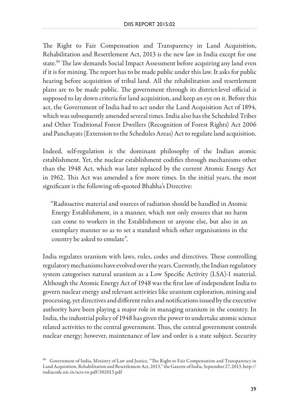The Right to Fair Compensation and Transparency in Land Acquisition, Rehabilitation and Resettlement Act, 2013 is the new law in India except for one state.<sup>90</sup> The law demands Social Impact Assessment before acquiring any land even if it is for mining. The report has to be made public under this law. It asks for public hearing before acquisition of tribal land. All the rehabilitation and resettlement plans are to be made public. The government through its district-level official is supposed to lay down criteria for land acquisition, and keep an eye on it. Before this act, the Government of India had to act under the Land Acquisition Act of 1894, which was subsequently amended several times. India also has the Scheduled Tribes and Other Traditional Forest Dwellers (Recognition of Forest Rights) Act 2006 and Panchayats (Extension to the Schedules Areas) Act to regulate land acquisition.

Indeed, self-regulation is the dominant philosophy of the Indian atomic establishment. Yet, the nuclear establishment codifies through mechanisms other than the 1948 Act, which was later replaced by the current Atomic Energy Act in 1962. This Act was amended a few more times. In the initial years, the most significant is the following oft-quoted Bhabha's Directive:

"Radioactive material and sources of radiation should be handled in Atomic Energy Establishment, in a manner, which not only ensures that no harm can come to workers in the Establishment or anyone else, but also in an exemplary manner so as to set a standard which other organisations in the country be asked to emulate".

India regulates uranium with laws, rules, codes and directives. These controlling regulatory mechanisms have evolved over the years. Currently, the Indian regulatory system categorises natural uranium as a Low Specific Activity (LSA)-1 material. Although the Atomic Energy Act of 1948 was the first law of independent India to govern nuclear energy and relevant activities like uranium exploration, mining and processing, yet directives and different rules and notifications issued by the executive authority have been playing a major role in managing uranium in the country. In India, the industrial policy of 1948 has given the power to undertake atomic science related activities to the central government. Thus, the central government controls nuclear energy; however, maintenance of law and order is a state subject. Security

 $90$  Government of India, Ministry of Law and Justice, "The Right to Fair Compensation and Transparency in Land Acquisition, Rehabilitation and Resettlement Act, 2013," the Gazette of India, September 27, 2013, http:// indiacode.nic.in/acts-in-pdf/302013.pdf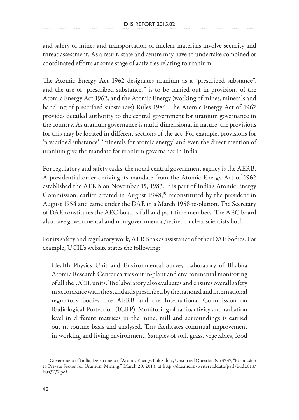and safety of mines and transportation of nuclear materials involve security and threat assessment. As a result, state and centre may have to undertake combined or coordinated efforts at some stage of activities relating to uranium.

The Atomic Energy Act 1962 designates uranium as a "prescribed substance", and the use of "prescribed substances" is to be carried out in provisions of the Atomic Energy Act 1962, and the Atomic Energy (working of mines, minerals and handling of prescribed substances) Rules 1984. The Atomic Energy Act of 1962 provides detailed authority to the central government for uranium governance in the country. As uranium governance is multi-dimensional in nature, the provisions for this may be located in different sections of the act. For example, provisions for 'prescribed substance' 'minerals for atomic energy' and even the direct mention of uranium give the mandate for uranium governance in India.

For regulatory and safety tasks, the nodal central government agency is the AERB. A presidential order deriving its mandate from the Atomic Energy Act of 1962 established the AERB on November 15, 1983. It is part of India's Atomic Energy Commission, earlier created in August 1948,<sup>91</sup> reconstituted by the president in August 1954 and came under the DAE in a March 1958 resolution. The Secretary of DAE constitutes the AEC board's full and part-time members. The AEC board also have governmental and non-governmental/retired nuclear scientists both.

For its safety and regulatory work, AERB takes assistance of other DAE bodies. For example, UCIL's website states the following:

Health Physics Unit and Environmental Survey Laboratory of Bhabha Atomic Research Center carries out in-plant and environmental monitoring of all the UCIL units. The laboratory also evaluates and ensures overall safety in accordance with the standards prescribed by the national and international regulatory bodies like AERB and the International Commission on Radiological Protection (ICRP). Monitoring of radioactivity and radiation level in different matrices in the mine, mill and surroundings is carried out in routine basis and analysed. This facilitates continual improvement in working and living environment. Samples of soil, grass, vegetables, food

<sup>&</sup>lt;sup>91</sup> Government of India, Department of Atomic Energy, Lok Sabha, Unstarred Question No 3737, "Permission to Private Sector for Uranium Mining," March 20, 2013, at http://dae.nic.in/writereaddata/parl/bud2013/ lsus3737.pdf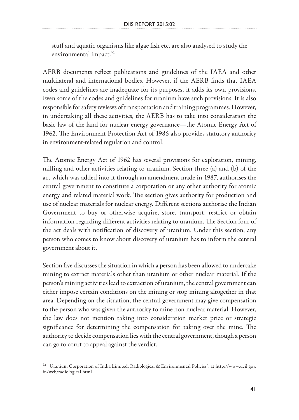stuff and aquatic organisms like algae fish etc. are also analysed to study the environmental impact.<sup>92</sup>

AERB documents reflect publications and guidelines of the IAEA and other multilateral and international bodies. However, if the AERB finds that IAEA codes and guidelines are inadequate for its purposes, it adds its own provisions. Even some of the codes and guidelines for uranium have such provisions. It is also responsible for safety reviews of transportation and training programmes. However, in undertaking all these activities, the AERB has to take into consideration the basic law of the land for nuclear energy governance—the Atomic Energy Act of 1962. The Environment Protection Act of 1986 also provides statutory authority in environment-related regulation and control.

The Atomic Energy Act of 1962 has several provisions for exploration, mining, milling and other activities relating to uranium. Section three (a) and (b) of the act which was added into it through an amendment made in 1987, authorises the central government to constitute a corporation or any other authority for atomic energy and related material work. The section gives authority for production and use of nuclear materials for nuclear energy. Different sections authorise the Indian Government to buy or otherwise acquire, store, transport, restrict or obtain information regarding different activities relating to uranium. The Section four of the act deals with notification of discovery of uranium. Under this section, any person who comes to know about discovery of uranium has to inform the central government about it.

Section five discusses the situation in which a person has been allowed to undertake mining to extract materials other than uranium or other nuclear material. If the person's mining activities lead to extraction of uranium, the central government can either impose certain conditions on the mining or stop mining altogether in that area. Depending on the situation, the central government may give compensation to the person who was given the authority to mine non-nuclear material. However, the law does not mention taking into consideration market price or strategic significance for determining the compensation for taking over the mine. The authority to decide compensation lies with the central government, though a person can go to court to appeal against the verdict.

<sup>92</sup> Uranium Corporation of India Limited, Radiological & Environmental Policies", at http://www.ucil.gov. in/web/radiological.html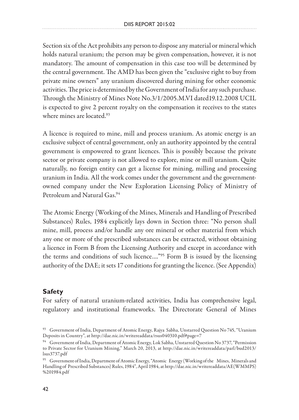Section six of the Act prohibits any person to dispose any material or mineral which holds natural uranium; the person may be given compensation, however, it is not mandatory. The amount of compensation in this case too will be determined by the central government. The AMD has been given the "exclusive right to buy from private mine owners" any uranium discovered during mining for other economic activities. The price is determined by the Government of India for any such purchase. Through the Ministry of Mines Note No.3/1/2005.M.VI dated19.12.2008 UCIL is expected to give 2 percent royalty on the compensation it receives to the states where mines are located.<sup>93</sup>

A licence is required to mine, mill and process uranium. As atomic energy is an exclusive subject of central government, only an authority appointed by the central government is empowered to grant licences. This is possibly because the private sector or private company is not allowed to explore, mine or mill uranium. Quite naturally, no foreign entity can get a license for mining, milling and processing uranium in India. All the work comes under the government and the governmentowned company under the New Exploration Licensing Policy of Ministry of Petroleum and Natural Gas.94

The Atomic Energy (Working of the Mines, Minerals and Handling of Prescribed Substances) Rules, 1984 explicitly lays down in Section three: "No person shall mine, mill, process and/or handle any ore mineral or other material from which any one or more of the prescribed substances can be extracted, without obtaining a licence in Form B from the Licensing Authority and except in accordance with the terms and conditions of such licence…."95 Form B is issued by the licensing authority of the DAE; it sets 17 conditions for granting the licence. (See Appendix)

### **Safety**

For safety of natural uranium-related activities, India has comprehensive legal, regulatory and institutional frameworks. The Directorate General of Mines

 $93$  Government of India, Department of Atomic Energy, Rajya Sabha, Unstarred Question No 745, "Uranium Deposits in Country", at http://dae.nic.in/writereaddata/rsus040310.pdf#page=7

<sup>94</sup> Government of India, Department of Atomic Energy, Lok Sabha, Unstarred Question No 3737, "Permission to Private Sector for Uranium Mining," March 20, 2013, at http://dae.nic.in/writereaddata/parl/bud2013/ lsus3737.pdf

<sup>95</sup> Government of India, Department of Atomic Energy, "Atomic Energy (Working of the Mines, Minerals and Handling of Prescribed Substances) Rules, 1984", April 1984, at http://dae.nic.in/writereaddata/AE(WMMPS) %201984.pdf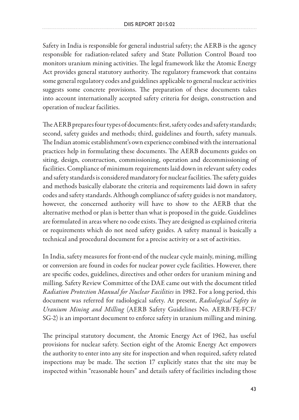Safety in India is responsible for general industrial safety; the AERB is the agency responsible for radiation-related safety and State Pollution Control Board too monitors uranium mining activities. The legal framework like the Atomic Energy Act provides general statutory authority. The regulatory framework that contains some general regulatory codes and guidelines applicable to general nuclear activities suggests some concrete provisions. The preparation of these documents takes into account internationally accepted safety criteria for design, construction and operation of nuclear facilities.

The AERB prepares four types of documents: first, safety codes and safety standards; second, safety guides and methods; third, guidelines and fourth, safety manuals. The Indian atomic establishment's own experience combined with the international practices help in formulating these documents. The AERB documents guides on siting, design, construction, commissioning, operation and decommissioning of facilities. Compliance of minimum requirements laid down in relevant safety codes and safety standards is considered mandatory for nuclear facilities. The safety guides and methods basically elaborate the criteria and requirements laid down in safety codes and safety standards. Although compliance of safety guides is not mandatory, however, the concerned authority will have to show to the AERB that the alternative method or plan is better than what is proposed in the guide. Guidelines are formulated in areas where no code exists. They are designed as explained criteria or requirements which do not need safety guides. A safety manual is basically a technical and procedural document for a precise activity or a set of activities.

In India, safety measures for front-end of the nuclear cycle mainly, mining, milling or conversion are found in codes for nuclear power cycle facilities. However, there are specific codes, guidelines, directives and other orders for uranium mining and milling. Safety Review Committee of the DAE came out with the document titled *Radiation Protection Manual for Nuclear Facilities* in 1982. For a long period, this document was referred for radiological safety. At present, *Radiological Safety in Uranium Mining and Milling* (AERB Safety Guidelines No. AERB/FE-FCF/ SG-2) is an important document to enforce safety in uranium milling and mining.

The principal statutory document, the Atomic Energy Act of 1962, has useful provisions for nuclear safety. Section eight of the Atomic Energy Act empowers the authority to enter into any site for inspection and when required, safety related inspections may be made. The section 17 explicitly states that the site may be inspected within "reasonable hours" and details safety of facilities including those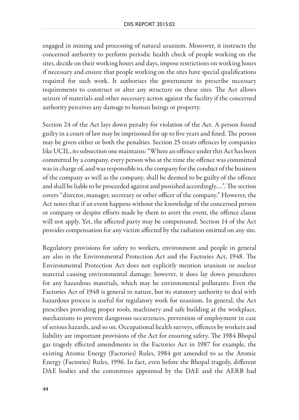engaged in mining and processing of natural uranium. Moreover, it instructs the concerned authority to perform periodic health check of people working on the sites, decide on their working hours and days, impose restrictions on working hours if necessary and ensure that people working on the sites have special qualifications required for such work. It authorises the government to prescribe necessary requirements to construct or alter any structure on these sites. The Act allows seizure of materials and other necessary action against the facility if the concerned authority perceives any damage to human beings or property.

Section 24 of the Act lays down penalty for violation of the Act. A person found guilty in a court of law may be imprisoned for up to five years and fined. The person may be given either or both the penalties. Section 25 treats offences by companies like UCIL, its subsection one maintains: "Where an offence under this Act has been committed by a company, every person who at the time the offence was committed was in charge of, and was responsible to, the company for the conduct of the business of the company as well as the company, shall be deemed to be guilty of the offence and shall be liable to be proceeded against and punished accordingly….". The section covers "director, manager, secretary or other officer of the company." However, the Act notes that if an event happens without the knowledge of the concerned person or company or despite efforts made by them to avert the event, the offence clause will not apply. Yet, the affected party may be compensated. Section 14 of the Act provides compensation for any victim affected by the radiation emitted on any site.

Regulatory provisions for safety to workers, environment and people in general are also in the Environmental Protection Act and the Factories Act, 1948. The Environmental Protection Act does not explicitly mention uranium or nuclear material causing environmental damage; however, it does lay down procedures for any hazardous materials, which may be environmental pollutants. Even the Factories Act of 1948 is general in nature, but its statutory authority to deal with hazardous process is useful for regulatory work for uranium. In general, the Act prescribes providing proper tools, machinery and safe building at the workplace, mechanisms to prevent dangerous occurrences, prevention of employment in case of serious hazards, and so on. Occupational health surveys, offences by workers and liability are important provisions of the Act for ensuring safety. The 1984 Bhopal gas tragedy effected amendments in the Factories Act in 1987 for example, the existing Atomic Energy (Factories) Rules, 1984 got amended to as the Atomic Energy (Factories) Rules, 1996. In fact, even before the Bhopal tragedy, different DAE bodies and the committees appointed by the DAE and the AERB had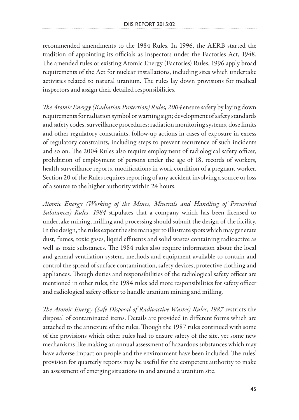recommended amendments to the 1984 Rules. In 1996, the AERB started the tradition of appointing its officials as inspectors under the Factories Act, 1948. The amended rules or existing Atomic Energy (Factories) Rules, 1996 apply broad requirements of the Act for nuclear installations, including sites which undertake activities related to natural uranium. The rules lay down provisions for medical inspectors and assign their detailed responsibilities.

*The Atomic Energy (Radiation Protection) Rules, 2004* ensure safety by laying down requirements for radiation symbol or warning sign; development of safety standards and safety codes, surveillance procedures; radiation monitoring systems, dose limits and other regulatory constraints, follow-up actions in cases of exposure in excess of regulatory constraints, including steps to prevent recurrence of such incidents and so on. The 2004 Rules also require employment of radiological safety officer, prohibition of employment of persons under the age of 18, records of workers, health surveillance reports, modifications in work condition of a pregnant worker. Section 20 of the Rules requires reporting of any accident involving a source or loss of a source to the higher authority within 24 hours.

*Atomic Energy (Working of the Mines, Minerals and Handling of Prescribed Substances) Rules, 1984* stipulates that a company which has been licensed to undertake mining, milling and processing should submit the design of the facility. In the design, the rules expect the site manager to illustrate spots which may generate dust, fumes, toxic gases, liquid effluents and solid wastes containing radioactive as well as toxic substances. The 1984 rules also require information about the local and general ventilation system, methods and equipment available to contain and control the spread of surface contamination, safety devices, protective clothing and appliances. Though duties and responsibilities of the radiological safety officer are mentioned in other rules, the 1984 rules add more responsibilities for safety officer and radiological safety officer to handle uranium mining and milling.

*The Atomic Energy (Safe Disposal of Radioactive Wastes) Rules, 1987* restricts the disposal of contaminated items. Details are provided in different forms which are attached to the annexure of the rules. Though the 1987 rules continued with some of the provisions which other rules had to ensure safety of the site, yet some new mechanisms like making an annual assessment of hazardous substances which may have adverse impact on people and the environment have been included. The rules' provision for quarterly reports may be useful for the competent authority to make an assessment of emerging situations in and around a uranium site.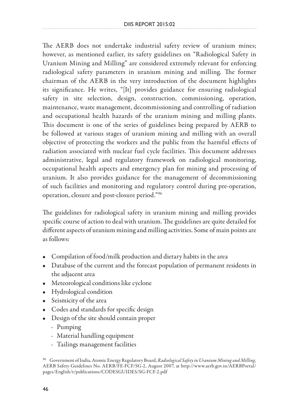The AERB does not undertake industrial safety review of uranium mines; however, as mentioned earlier, its safety guidelines on "Radiological Safety in Uranium Mining and Milling" are considered extremely relevant for enforcing radiological safety parameters in uranium mining and milling. The former chairman of the AERB in the very introduction of the document highlights its significance. He writes, "[It] provides guidance for ensuring radiological safety in site selection, design, construction, commissioning, operation, maintenance, waste management, decommissioning and controlling of radiation and occupational health hazards of the uranium mining and milling plants. This document is one of the series of guidelines being prepared by AERB to be followed at various stages of uranium mining and milling with an overall objective of protecting the workers and the public from the harmful effects of radiation associated with nuclear fuel cycle facilities. This document addresses administrative, legal and regulatory framework on radiological monitoring, occupational health aspects and emergency plan for mining and processing of uranium. It also provides guidance for the management of decommissioning of such facilities and monitoring and regulatory control during pre-operation, operation, closure and post-closure period."96

The guidelines for radiological safety in uranium mining and milling provides specific course of action to deal with uranium. The guidelines are quite detailed for different aspects of uranium mining and milling activities. Some of main points are as follows:

- Compilation of food/milk production and dietary habits in the area
- Database of the current and the forecast population of permanent residents in the adjacent area
- Meteorological conditions like cyclone
- Hydrological condition
- Seismicity of the area
- Codes and standards for specific design
- Design of the site should contain proper
	- · Pumping
	- · Material handling equipment
	- · Tailings management facilities

<sup>96</sup> Government of India, Atomic Energy Regulatory Board, *Radiological Safety in Uranium Mining and Milling,*  AERB Safety Guidelines No. AERB/FE-FCF/SG-2, August 2007, at http://www.aerb.gov.in/AERBPortal/ pages/English/t/publications/CODESGUIDES/SG-FCF-2.pdf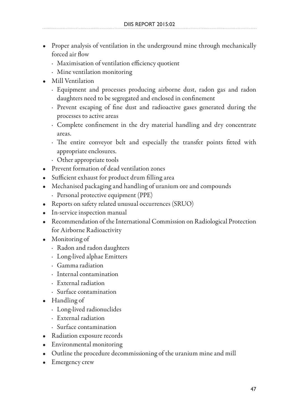- Proper analysis of ventilation in the underground mine through mechanically forced air flow
	- · Maximisation of ventilation efficiency quotient
	- · Mine ventilation monitoring
- Mill Ventilation
	- · Equipment and processes producing airborne dust, radon gas and radon daughters need to be segregated and enclosed in confinement
	- · Prevent escaping of fine dust and radioactive gases generated during the processes to active areas
	- · Complete confinement in the dry material handling and dry concentrate areas.
	- · The entire conveyor belt and especially the transfer points fitted with appropriate enclosures.
	- · Other appropriate tools
- Prevent formation of dead ventilation zones
- Sufficient exhaust for product drum filling area
- Mechanised packaging and handling of uranium ore and compounds
	- · Personal protective equipment (PPE)
- Reports on safety related unusual occurrences (SRUO)
- In-service inspection manual
- Recommendation of the International Commission on Radiological Protection for Airborne Radioactivity
- Monitoring of
	- · Radon and radon daughters
	- · Long-lived alphae Emitters
	- · Gamma radiation
	- · Internal contamination
	- · External radiation
	- · Surface contamination
- Handling of
	- · Long-lived radionuclides
	- · External radiation
	- · Surface contamination
- Radiation exposure records
- Environmental monitoring
- Outline the procedure decommissioning of the uranium mine and mill
- Emergency crew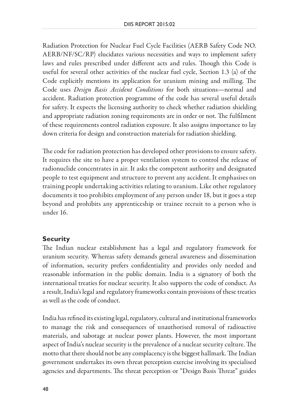Radiation Protection for Nuclear Fuel Cycle Facilities (AERB Safety Code NO. AERB/NF/SC/RP) elucidates various necessities and ways to implement safety laws and rules prescribed under different acts and rules. Though this Code is useful for several other activities of the nuclear fuel cycle, Section 1.3 (a) of the Code explicitly mentions its application for uranium mining and milling. The Code uses *Design Basis Accident Conditions* for both situations—normal and accident. Radiation protection programme of the code has several useful details for safety. It expects the licensing authority to check whether radiation shielding and appropriate radiation zoning requirements are in order or not. The fulfilment of these requirements control radiation exposure. It also assigns importance to lay down criteria for design and construction materials for radiation shielding.

The code for radiation protection has developed other provisions to ensure safety. It requires the site to have a proper ventilation system to control the release of radionuclide concentrates in air. It asks the competent authority and designated people to test equipment and structure to prevent any accident. It emphasises on training people undertaking activities relating to uranium. Like other regulatory documents it too prohibits employment of any person under 18, but it goes a step beyond and prohibits any apprenticeship or trainee recruit to a person who is under 16.

### **Security**

The Indian nuclear establishment has a legal and regulatory framework for uranium security. Whereas safety demands general awareness and dissemination of information, security prefers confidentiality and provides only needed and reasonable information in the public domain. India is a signatory of both the international treaties for nuclear security. It also supports the code of conduct. As a result, India's legal and regulatory frameworks contain provisions of these treaties as well as the code of conduct.

India has refined its existing legal, regulatory, cultural and institutional frameworks to manage the risk and consequences of unauthorised removal of radioactive materials, and sabotage at nuclear power plants. However, the most important aspect of India's nuclear security is the prevalence of a nuclear security culture. The motto that there should not be any complacency is the biggest hallmark. The Indian government undertakes its own threat perception exercise involving its specialised agencies and departments. The threat perception or "Design Basis Threat" guides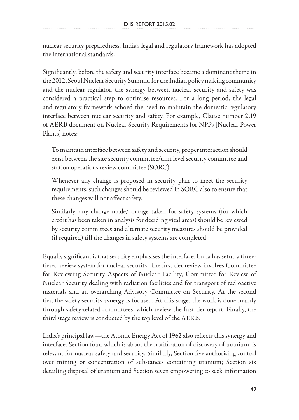nuclear security preparedness. India's legal and regulatory framework has adopted the international standards.

Significantly, before the safety and security interface became a dominant theme in the 2012, Seoul Nuclear Security Summit, for the Indian policy making community and the nuclear regulator, the synergy between nuclear security and safety was considered a practical step to optimise resources. For a long period, the legal and regulatory framework echoed the need to maintain the domestic regulatory interface between nuclear security and safety. For example, Clause number 2.19 of AERB document on Nuclear Security Requirements for NPPs [Nuclear Power Plants] notes:

To maintain interface between safety and security, proper interaction should exist between the site security committee/unit level security committee and station operations review committee (SORC).

Whenever any change is proposed in security plan to meet the security requirements, such changes should be reviewed in SORC also to ensure that these changes will not affect safety.

Similarly, any change made/ outage taken for safety systems (for which credit has been taken in analysis for deciding vital areas) should be reviewed by security committees and alternate security measures should be provided (if required) till the changes in safety systems are completed.

Equally significant is that security emphasises the interface. India has setup a threetiered review system for nuclear security. The first tier review involves Committee for Reviewing Security Aspects of Nuclear Facility, Committee for Review of Nuclear Security dealing with radiation facilities and for transport of radioactive materials and an overarching Advisory Committee on Security. At the second tier, the safety-security synergy is focused. At this stage, the work is done mainly through safety-related committees, which review the first tier report. Finally, the third stage review is conducted by the top level of the AERB.

India's principal law—the Atomic Energy Act of 1962 also reflects this synergy and interface. Section four, which is about the notification of discovery of uranium, is relevant for nuclear safety and security. Similarly, Section five authorising control over mining or concentration of substances containing uranium; Section six detailing disposal of uranium and Section seven empowering to seek information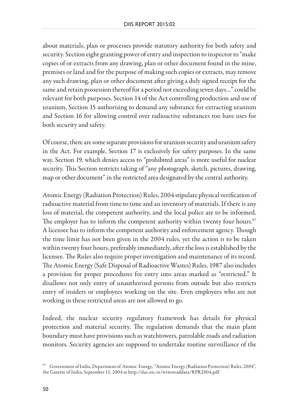about materials, plan or processes provide statutory authority for both safety and security. Section eight granting power of entry and inspection to inspector to "make copies of or extracts from any drawing, plan or other document found in the mine, premises or land and for the purpose of making such copies or extracts, may remove any such drawing, plan or other document after giving a duly signed receipt for the same and retain possession thereof for a period not exceeding seven days…" could be relevant for both purposes. Section 14 of the Act controlling production and use of uranium, Section 15 authorising to demand any substance for extracting uranium and Section 16 for allowing control over radioactive substances too have uses for both security and safety.

Of course, there are some separate provisions for uranium security and uranium safety in the Act. For example, Section 17 is exclusively for safety purposes. In the same way, Section 19, which denies access to "prohibited areas" is more useful for nuclear security. This Section restricts taking of "any photograph, sketch, pictures, drawing, map or other document" in the restricted area designated by the central authority.

Atomic Energy (Radiation Protection) Rules, 2004 stipulate physical verification of radioactive material from time to time and an inventory of materials. If there is any loss of material, the competent authority, and the local police are to be informed. The employer has to inform the competent authority within twenty four hours.<sup>97</sup> A licensee has to inform the competent authority and enforcement agency. Though the time limit has not been given in the 2004 rules, yet the action is to be taken within twenty four hours, preferably immediately, after the loss is established by the licensee. The Rules also require proper investigation and maintenance of its record. The Atomic Energy (Safe Disposal of Radioactive Wastes) Rules, 1987 also includes a provision for proper procedures for entry into areas marked as "restricted." It disallows not only entry of unauthorised persons from outside but also restricts entry of insiders or employees working on the site. Even employees who are not working in these restricted areas are not allowed to go.

Indeed, the nuclear security regulatory framework has details for physical protection and material security. The regulation demands that the main plant boundary must have provisions such as watchtowers, patrolable roads and radiation monitors. Security agencies are supposed to undertake routine surveillance of the

<sup>97</sup> Government of India, Department of Atomic Energy, "Atomic Energy (Radiation Protection) Rules, 2004", the Gazette of India, September 11, 2004 at http://dae.nic.in/writereaddata/RPR2004.pdf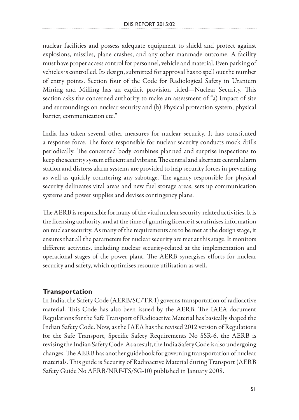nuclear facilities and possess adequate equipment to shield and protect against explosions, missiles, plane crashes, and any other manmade outcome. A facility must have proper access control for personnel, vehicle and material. Even parking of vehicles is controlled. Its design, submitted for approval has to spell out the number of entry points. Section four of the Code for Radiological Safety in Uranium Mining and Milling has an explicit provision titled—Nuclear Security. This section asks the concerned authority to make an assessment of "a) Impact of site and surroundings on nuclear security and (b) Physical protection system, physical barrier, communication etc."

India has taken several other measures for nuclear security. It has constituted a response force. The force responsible for nuclear security conducts mock drills periodically. The concerned body combines planned and surprise inspections to keep the security system efficient and vibrant. The central and alternate central alarm station and distress alarm systems are provided to help security forces in preventing as well as quickly countering any sabotage. The agency responsible for physical security delineates vital areas and new fuel storage areas, sets up communication systems and power supplies and devises contingency plans.

The AERB is responsible for many of the vital nuclear security-related activities. It is the licensing authority, and at the time of granting licence it scrutinises information on nuclear security. As many of the requirements are to be met at the design stage, it ensures that all the parameters for nuclear security are met at this stage. It monitors different activities, including nuclear security-related at the implementation and operational stages of the power plant. The AERB synergises efforts for nuclear security and safety, which optimises resource utilisation as well.

### **Transportation**

In India, the Safety Code (AERB/SC/TR-1) governs transportation of radioactive material. This Code has also been issued by the AERB. The IAEA document Regulations for the Safe Transport of Radioactive Material has basically shaped the Indian Safety Code. Now, as the IAEA has the revised 2012 version of Regulations for the Safe Transport, Specific Safety Requirements No SSR-6, the AERB is revising the Indian Safety Code. As a result, the India Safety Code is also undergoing changes. The AERB has another guidebook for governing transportation of nuclear materials. This guide is Security of Radioactive Material during Transport (AERB Safety Guide No AERB/NRF-TS/SG-10) published in January 2008.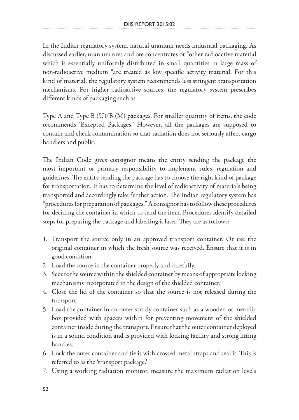In the Indian regulatory system, natural uranium needs industrial packaging. As discussed earlier, uranium ores and ore concentrates or "other radioactive material which is essentially uniformly distributed in small quantities in large mass of non-radioactive medium "are treated as low specific activity material. For this kind of material, the regulatory system recommends less stringent transportation mechanisms. For higher radioactive sources, the regulatory system prescribes different kinds of packaging such as

Type A and Type B (U)/B (M) packages. For smaller quantity of items, the code recommends 'Excepted Packages.' However, all the packages are supposed to contain and check contamination so that radiation does not seriously affect cargo handlers and public.

The Indian Code gives consignor means the entity sending the package the most important or primary responsibility to implement rules, regulation and guidelines. The entity sending the package has to choose the right kind of package for transportation. It has to determine the level of radioactivity of materials being transported and accordingly take further action. The Indian regulatory system has "procedures for preparation of packages." A consignor has to follow these procedures for deciding the container in which to send the item. Procedures identify detailed steps for preparing the package and labelling it later. They are as follows:

- 1. Transport the source only in an approved transport container. Or use the original container in which the fresh source was received. Ensure that it is in good condition.
- 2. Load the source in the container properly and carefully.
- 3. Secure the source within the shielded container by means of appropriate locking mechanisms incorporated in the design of the shielded container.
- 4. Close the lid of the container so that the source is not released during the transport.
- 5. Load the container in an outer sturdy container such as a wooden or metallic box provided with spacers within for preventing movement of the shielded container inside during the transport. Ensure that the outer container deployed is in a sound condition and is provided with locking facility and strong lifting handles.
- 6. Lock the outer container and tie it with crossed metal straps and seal it. This is referred to as the 'transport package.'
- 7. Using a working radiation monitor, measure the maximum radiation levels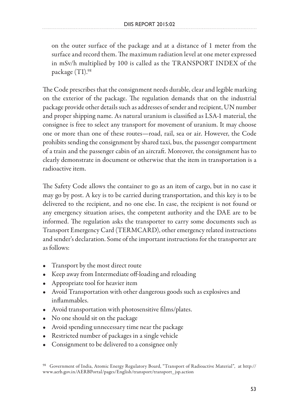on the outer surface of the package and at a distance of 1 meter from the surface and record them. The maximum radiation level at one meter expressed in mSv/h multiplied by 100 is called as the TRANSPORT INDEX of the package (TI).98

The Code prescribes that the consignment needs durable, clear and legible marking on the exterior of the package. The regulation demands that on the industrial package provide other details such as addresses of sender and recipient, UN number and proper shipping name. As natural uranium is classified as LSA-1 material, the consignee is free to select any transport for movement of uranium. It may choose one or more than one of these routes—road, rail, sea or air. However, the Code prohibits sending the consignment by shared taxi, bus, the passenger compartment of a train and the passenger cabin of an aircraft. Moreover, the consignment has to clearly demonstrate in document or otherwise that the item in transportation is a radioactive item.

The Safety Code allows the container to go as an item of cargo, but in no case it may go by post. A key is to be carried during transportation, and this key is to be delivered to the recipient, and no one else. In case, the recipient is not found or any emergency situation arises, the competent authority and the DAE are to be informed. The regulation asks the transporter to carry some documents such as Transport Emergency Card (TERMCARD), other emergency related instructions and sender's declaration. Some of the important instructions for the transporter are as follows:

- Transport by the most direct route
- Keep away from Intermediate off-loading and reloading
- Appropriate tool for heavier item
- Avoid Transportation with other dangerous goods such as explosives and inflammables.
- Avoid transportation with photosensitive films/plates.
- No one should sit on the package
- Avoid spending unnecessary time near the package
- Restricted number of packages in a single vehicle
- Consignment to be delivered to a consignee only

<sup>98</sup> Government of India, Atomic Energy Regulatory Board, "Transport of Radioactive Material", at http:// www.aerb.gov.in/AERBPortal/pages/English/transport/transport\_jsp.action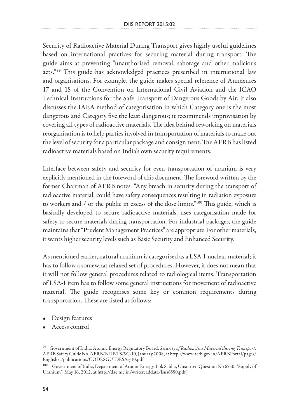Security of Radioactive Material During Transport gives highly useful guidelines based on international practices for securing material during transport. The guide aims at preventing "unauthorised removal, sabotage and other malicious acts."99 This guide has acknowledged practices prescribed in international law and organisations. For example, the guide makes special reference of Annexures 17 and 18 of the Convention on International Civil Aviation and the ICAO Technical Instructions for the Safe Transport of Dangerous Goods by Air. It also discusses the IAEA method of categorisation in which Category one is the most dangerous and Category five the least dangerous; it recommends improvisation by covering all types of radioactive materials. The idea behind reworking on materials reorganisation is to help parties involved in transportation of materials to make out the level of security for a particular package and consignment. The AERB has listed radioactive materials based on India's own security requirements.

Interface between safety and security for even transportation of uranium is very explicitly mentioned in the foreword of this document. The foreword written by the former Chairman of AERB notes: "Any breach in security during the transport of radioactive material, could have safety consequences resulting in radiation exposure to workers and / or the public in excess of the dose limits."100 This guide, which is basically developed to secure radioactive materials, uses categorisation made for safety to secure materials during transportation. For industrial packages, the guide maintains that "Prudent Management Practices" are appropriate. For other materials, it wants higher security levels such as Basic Security and Enhanced Security.

As mentioned earlier, natural uranium is categorised as a LSA-1 nuclear material; it has to follow a somewhat relaxed set of procedures. However, it does not mean that it will not follow general procedures related to radiological items. Transportation of LSA-1 item has to follow some general instructions for movement of radioactive material. The guide recognises some key or common requirements during transportation. These are listed as follows:

- Design features
- Access control

<sup>99</sup> Government of India, Atomic Energy Regulatory Board, *Security of Radioactive Material during Transport,* AERB Safety Guide No. AERB/NRF-TS/SG-10, January 2008, at http://www.aerb.gov.in/AERBPortal/pages/ English/t/publications/CODESGUIDES/sg-10.pdf

<sup>100</sup> Government of India, Department of Atomic Energy, Lok Sabha, Unstarred Question No 6550, "Supply of Uranium", May 16, 2012, at http://dae.nic.in/writereaddata/lsus6550.pdf)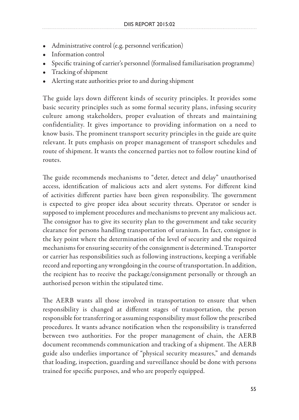- Administrative control (e.g. personnel verification)
- Information control
- Specific training of carrier's personnel (formalised familiarisation programme)
- Tracking of shipment
- Alerting state authorities prior to and during shipment

The guide lays down different kinds of security principles. It provides some basic security principles such as some formal security plans, infusing security culture among stakeholders, proper evaluation of threats and maintaining confidentiality. It gives importance to providing information on a need to know basis. The prominent transport security principles in the guide are quite relevant. It puts emphasis on proper management of transport schedules and route of shipment. It wants the concerned parties not to follow routine kind of routes.

The guide recommends mechanisms to "deter, detect and delay" unauthorised access, identification of malicious acts and alert systems. For different kind of activities different parties have been given responsibility. The government is expected to give proper idea about security threats. Operator or sender is supposed to implement procedures and mechanisms to prevent any malicious act. The consignor has to give its security plan to the government and take security clearance for persons handling transportation of uranium. In fact, consignor is the key point where the determination of the level of security and the required mechanisms for ensuring security of the consignment is determined. Transporter or carrier has responsibilities such as following instructions, keeping a verifiable record and reporting any wrongdoing in the course of transportation. In addition, the recipient has to receive the package/consignment personally or through an authorised person within the stipulated time.

The AERB wants all those involved in transportation to ensure that when responsibility is changed at different stages of transportation, the person responsible for transferring or assuming responsibility must follow the prescribed procedures. It wants advance notification when the responsibility is transferred between two authorities. For the proper management of chain, the AERB document recommends communication and tracking of a shipment. The AERB guide also underlies importance of "physical security measures," and demands that loading, inspection, guarding and surveillance should be done with persons trained for specific purposes, and who are properly equipped.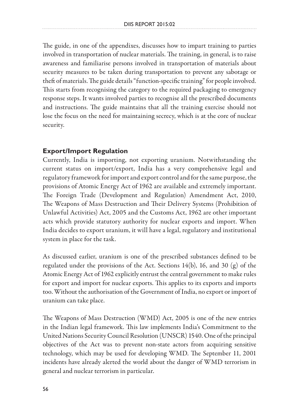The guide, in one of the appendixes, discusses how to impart training to parties involved in transportation of nuclear materials. The training, in general, is to raise awareness and familiarise persons involved in transportation of materials about security measures to be taken during transportation to prevent any sabotage or theft of materials. The guide details "function-specific training" for people involved. This starts from recognising the category to the required packaging to emergency response steps. It wants involved parties to recognise all the prescribed documents and instructions. The guide maintains that all the training exercise should not lose the focus on the need for maintaining secrecy, which is at the core of nuclear security.

### **Export/Import Regulation**

Currently, India is importing, not exporting uranium. Notwithstanding the current status on import/export, India has a very comprehensive legal and regulatory framework for import and export control and for the same purpose, the provisions of Atomic Energy Act of 1962 are available and extremely important. The Foreign Trade (Development and Regulation) Amendment Act, 2010, The Weapons of Mass Destruction and Their Delivery Systems (Prohibition of Unlawful Activities) Act, 2005 and the Customs Act, 1962 are other important acts which provide statutory authority for nuclear exports and import. When India decides to export uranium, it will have a legal, regulatory and institutional system in place for the task.

As discussed earlier, uranium is one of the prescribed substances defined to be regulated under the provisions of the Act. Sections  $14(b)$ , 16, and 30 (g) of the Atomic Energy Act of 1962 explicitly entrust the central government to make rules for export and import for nuclear exports. This applies to its exports and imports too. Without the authorisation of the Government of India, no export or import of uranium can take place.

The Weapons of Mass Destruction (WMD) Act, 2005 is one of the new entries in the Indian legal framework. This law implements India's Commitment to the United Nations Security Council Resolution (UNSCR) 1540. One of the principal objectives of the Act was to prevent non-state actors from acquiring sensitive technology, which may be used for developing WMD. The September 11, 2001 incidents have already alerted the world about the danger of WMD terrorism in general and nuclear terrorism in particular.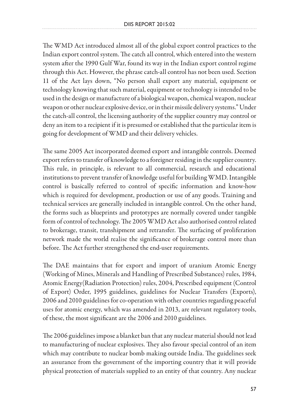The WMD Act introduced almost all of the global export control practices to the Indian export control system. The catch all control, which entered into the western system after the 1990 Gulf War, found its way in the Indian export control regime through this Act. However, the phrase catch-all control has not been used. Section 11 of the Act lays down, "No person shall export any material, equipment or technology knowing that such material, equipment or technology is intended to be used in the design or manufacture of a biological weapon, chemical weapon, nuclear weapon or other nuclear explosive device, or in their missile delivery systems." Under the catch-all control, the licensing authority of the supplier country may control or deny an item to a recipient if it is presumed or established that the particular item is going for development of WMD and their delivery vehicles.

The same 2005 Act incorporated deemed export and intangible controls. Deemed export refers to transfer of knowledge to a foreigner residing in the supplier country. This rule, in principle, is relevant to all commercial, research and educational institutions to prevent transfer of knowledge useful for building WMD. Intangible control is basically referred to control of specific information and know-how which is required for development, production or use of any goods. Training and technical services are generally included in intangible control. On the other hand, the forms such as blueprints and prototypes are normally covered under tangible form of control of technology. The 2005 WMD Act also authorised control related to brokerage, transit, transhipment and retransfer. The surfacing of proliferation network made the world realise the significance of brokerage control more than before. The Act further strengthened the end-user requirements.

The DAE maintains that for export and import of uranium Atomic Energy (Working of Mines, Minerals and Handling of Prescribed Substances) rules, 1984, Atomic Energy(Radiation Protection) rules, 2004, Prescribed equipment (Control of Export) Order, 1995 guidelines, guidelines for Nuclear Transfers (Exports), 2006 and 2010 guidelines for co-operation with other countries regarding peaceful uses for atomic energy, which was amended in 2013, are relevant regulatory tools, of these, the most significant are the 2006 and 2010 guidelines.

The 2006 guidelines impose a blanket ban that any nuclear material should not lead to manufacturing of nuclear explosives. They also favour special control of an item which may contribute to nuclear bomb making outside India. The guidelines seek an assurance from the government of the importing country that it will provide physical protection of materials supplied to an entity of that country. Any nuclear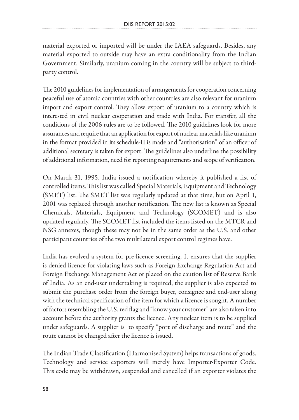material exported or imported will be under the IAEA safeguards. Besides, any material exported to outside may have an extra conditionality from the Indian Government. Similarly, uranium coming in the country will be subject to thirdparty control.

The 2010 guidelines for implementation of arrangements for cooperation concerning peaceful use of atomic countries with other countries are also relevant for uranium import and export control. They allow export of uranium to a country which is interested in civil nuclear cooperation and trade with India. For transfer, all the conditions of the 2006 rules are to be followed. The 2010 guidelines look for more assurances and require that an application for export of nuclear materials like uranium in the format provided in its schedule-II is made and "authorisation" of an officer of additional secretary is taken for export. The guidelines also underline the possibility of additional information, need for reporting requirements and scope of verification.

On March 31, 1995, India issued a notification whereby it published a list of controlled items. This list was called Special Materials, Equipment and Technology (SMET) list. The SMET list was regularly updated at that time, but on April 1, 2001 was replaced through another notification. The new list is known as Special Chemicals, Materials, Equipment and Technology (SCOMET) and is also updated regularly. The SCOMET list included the items listed on the MTCR and NSG annexes, though these may not be in the same order as the U.S. and other participant countries of the two multilateral export control regimes have.

India has evolved a system for pre-licence screening. It ensures that the supplier is denied licence for violating laws such as Foreign Exchange Regulation Act and Foreign Exchange Management Act or placed on the caution list of Reserve Bank of India. As an end-user undertaking is required, the supplier is also expected to submit the purchase order from the foreign buyer, consignee and end-user along with the technical specification of the item for which a licence is sought. A number of factors resembling the U.S. red flag and "know your customer" are also taken into account before the authority grants the licence. Any nuclear item is to be supplied under safeguards. A supplier is to specify "port of discharge and route" and the route cannot be changed after the licence is issued.

The Indian Trade Classification (Harmonised System) helps transactions of goods. Technology and service exporters will merely have Importer-Exporter Code. This code may be withdrawn, suspended and cancelled if an exporter violates the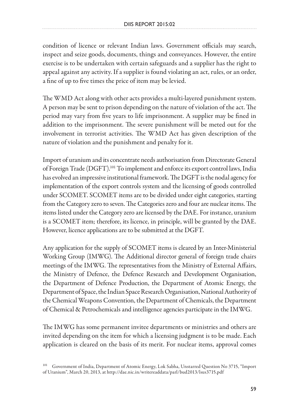condition of licence or relevant Indian laws. Government officials may search, inspect and seize goods, documents, things and conveyances. However, the entire exercise is to be undertaken with certain safeguards and a supplier has the right to appeal against any activity. If a supplier is found violating an act, rules, or an order, a fine of up to five times the price of item may be levied.

The WMD Act along with other acts provides a multi-layered punishment system. A person may be sent to prison depending on the nature of violation of the act. The period may vary from five years to life imprisonment. A supplier may be fined in addition to the imprisonment. The severe punishment will be meted out for the involvement in terrorist activities. The WMD Act has given description of the nature of violation and the punishment and penalty for it.

Import of uranium and its concentrate needs authorisation from Directorate General of Foreign Trade (DGFT).101 To implement and enforce its export control laws, India has evolved an impressive institutional framework. The DGFT is the nodal agency for implementation of the export controls system and the licensing of goods controlled under SCOMET. SCOMET items are to be divided under eight categories, starting from the Category zero to seven. The Categories zero and four are nuclear items. The items listed under the Category zero are licensed by the DAE. For instance, uranium is a SCOMET item; therefore, its licence, in principle, will be granted by the DAE. However, licence applications are to be submitted at the DGFT.

Any application for the supply of SCOMET items is cleared by an Inter-Ministerial Working Group (IMWG). The Additional director general of foreign trade chairs meetings of the IMWG. The representatives from the Ministry of External Affairs, the Ministry of Defence, the Defence Research and Development Organisation, the Department of Defence Production, the Department of Atomic Energy, the Department of Space, the Indian Space Research Organisation, National Authority of the Chemical Weapons Convention, the Department of Chemicals, the Department of Chemical & Petrochemicals and intelligence agencies participate in the IMWG.

The IMWG has some permanent invitee departments or ministries and others are invited depending on the item for which a licensing judgment is to be made. Each application is cleared on the basis of its merit. For nuclear items, approval comes

<sup>101</sup> Government of India, Department of Atomic Energy, Lok Sabha, Unstarred Question No 3715, "Import of Uranium", March 20, 2013, at http://dae.nic.in/writereaddata/parl/bud2013/lsus3715.pdf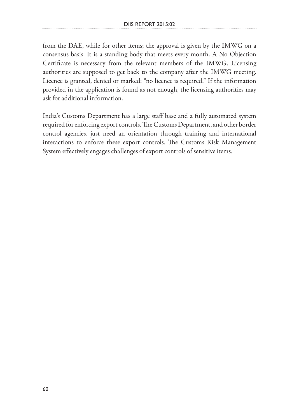from the DAE, while for other items; the approval is given by the IMWG on a consensus basis. It is a standing body that meets every month. A No Objection Certificate is necessary from the relevant members of the IMWG. Licensing authorities are supposed to get back to the company after the IMWG meeting. Licence is granted, denied or marked: "no licence is required." If the information provided in the application is found as not enough, the licensing authorities may ask for additional information.

India's Customs Department has a large staff base and a fully automated system required for enforcing export controls. The Customs Department, and other border control agencies, just need an orientation through training and international interactions to enforce these export controls. The Customs Risk Management System effectively engages challenges of export controls of sensitive items.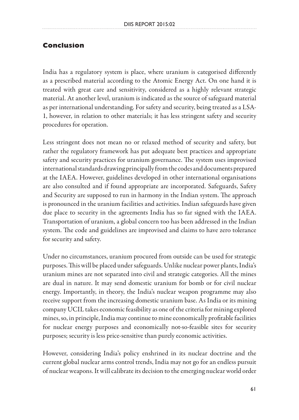### **Conclusion**

India has a regulatory system is place, where uranium is categorised differently as a prescribed material according to the Atomic Energy Act. On one hand it is treated with great care and sensitivity, considered as a highly relevant strategic material. At another level, uranium is indicated as the source of safeguard material as per international understanding. For safety and security, being treated as a LSA-1, however, in relation to other materials; it has less stringent safety and security procedures for operation.

Less stringent does not mean no or relaxed method of security and safety, but rather the regulatory framework has put adequate best practices and appropriate safety and security practices for uranium governance. The system uses improvised international standards drawing principally from the codes and documents prepared at the IAEA. However, guidelines developed in other international organisations are also consulted and if found appropriate are incorporated. Safeguards, Safety and Security are supposed to run in harmony in the Indian system. The approach is pronounced in the uranium facilities and activities. Indian safeguards have given due place to security in the agreements India has so far signed with the IAEA. Transportation of uranium, a global concern too has been addressed in the Indian system. The code and guidelines are improvised and claims to have zero tolerance for security and safety.

Under no circumstances, uranium procured from outside can be used for strategic purposes. This will be placed under safeguards. Unlike nuclear power plants, India's uranium mines are not separated into civil and strategic categories. All the mines are dual in nature. It may send domestic uranium for bomb or for civil nuclear energy. Importantly, in theory, the India's nuclear weapon programme may also receive support from the increasing domestic uranium base. As India or its mining company UCIL takes economic feasibility as one of the criteria for mining explored mines, so, in principle, India may continue to mine economically profitable facilities for nuclear energy purposes and economically not-so-feasible sites for security purposes; security is less price-sensitive than purely economic activities.

However, considering India's policy enshrined in its nuclear doctrine and the current global nuclear arms control trends, India may not go for an endless pursuit of nuclear weapons. It will calibrate its decision to the emerging nuclear world order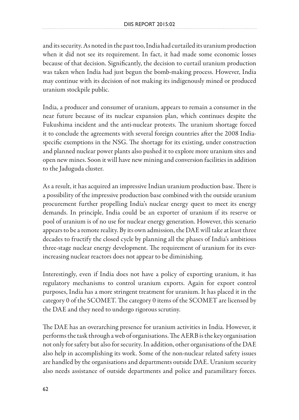and its security. As noted in the past too, India had curtailed its uranium production when it did not see its requirement. In fact, it had made some economic losses because of that decision. Significantly, the decision to curtail uranium production was taken when India had just begun the bomb-making process. However, India may continue with its decision of not making its indigenously mined or produced uranium stockpile public.

India, a producer and consumer of uranium, appears to remain a consumer in the near future because of its nuclear expansion plan, which continues despite the Fukushima incident and the anti-nuclear protests. The uranium shortage forced it to conclude the agreements with several foreign countries after the 2008 Indiaspecific exemptions in the NSG. The shortage for its existing, under construction and planned nuclear power plants also pushed it to explore more uranium sites and open new mines. Soon it will have new mining and conversion facilities in addition to the Jaduguda cluster.

As a result, it has acquired an impressive Indian uranium production base. There is a possibility of the impressive production base combined with the outside uranium procurement further propelling India's nuclear energy quest to meet its energy demands. In principle, India could be an exporter of uranium if its reserve or pool of uranium is of no use for nuclear energy generation. However, this scenario appears to be a remote reality. By its own admission, the DAE will take at least three decades to fructify the closed cycle by planning all the phases of India's ambitious three-stage nuclear energy development. The requirement of uranium for its everincreasing nuclear reactors does not appear to be diminishing.

Interestingly, even if India does not have a policy of exporting uranium, it has regulatory mechanisms to control uranium exports. Again for export control purposes, India has a more stringent treatment for uranium. It has placed it in the category 0 of the SCOMET. The category 0 items of the SCOMET are licensed by the DAE and they need to undergo rigorous scrutiny.

The DAE has an overarching presence for uranium activities in India. However, it performs the task through a web of organisations. The AERB is the key organisation not only for safety but also for security. In addition, other organisations of the DAE also help in accomplishing its work. Some of the non-nuclear related safety issues are handled by the organisations and departments outside DAE. Uranium security also needs assistance of outside departments and police and paramilitary forces.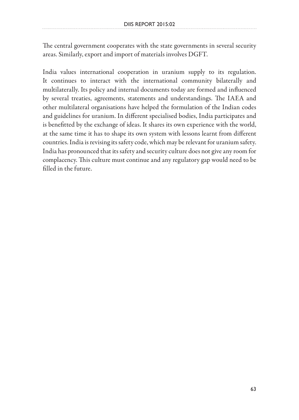The central government cooperates with the state governments in several security areas. Similarly, export and import of materials involves DGFT.

India values international cooperation in uranium supply to its regulation. It continues to interact with the international community bilaterally and multilaterally. Its policy and internal documents today are formed and influenced by several treaties, agreements, statements and understandings. The IAEA and other multilateral organisations have helped the formulation of the Indian codes and guidelines for uranium. In different specialised bodies, India participates and is benefitted by the exchange of ideas. It shares its own experience with the world, at the same time it has to shape its own system with lessons learnt from different countries. India is revising its safety code, which may be relevant for uranium safety. India has pronounced that its safety and security culture does not give any room for complacency. This culture must continue and any regulatory gap would need to be filled in the future.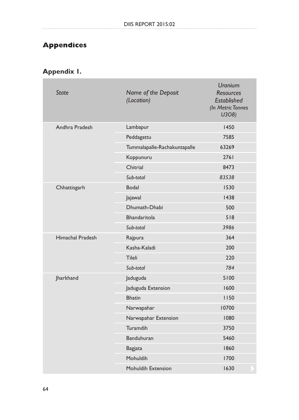# **Appendices**

# **Appendix 1.**

|  | <b>State</b>     | Name of the Deposit<br>(Location) | <b>Uranium</b><br><b>Resources</b><br><b>Established</b><br>(In Metric Tonnes<br>U308) |
|--|------------------|-----------------------------------|----------------------------------------------------------------------------------------|
|  | Andhra Pradesh   | Lambapur                          | 1450                                                                                   |
|  |                  | Peddagattu                        | 7585                                                                                   |
|  |                  | Tummalapalle-Rachakuntapalle      | 63269                                                                                  |
|  |                  | Koppunuru                         | 2761                                                                                   |
|  |                  | Chitrial                          | 8473                                                                                   |
|  |                  | Sub-total                         | 83538                                                                                  |
|  | Chhattisgarh     | <b>Bodal</b>                      | 1530                                                                                   |
|  |                  | Jajawal                           | 1438                                                                                   |
|  |                  | Dhumath-Dhabi                     | 500                                                                                    |
|  |                  | <b>Bhandaritola</b>               | 518                                                                                    |
|  |                  | Sub-total                         | 3986                                                                                   |
|  | Himachal Pradesh | Rajpura                           | 364                                                                                    |
|  |                  | Kasha-Kaladi                      | 200                                                                                    |
|  |                  | Tileli                            | 220                                                                                    |
|  |                  | Sub-total                         | 784                                                                                    |
|  | Jharkhand        | Jaduguda                          | 5100                                                                                   |
|  |                  | Jaduguda Extension                | 1600                                                                                   |
|  |                  | <b>Bhatin</b>                     | 1150                                                                                   |
|  |                  | Narwapahar                        | 10700                                                                                  |
|  |                  | Narwapahar Extension              | 1080                                                                                   |
|  |                  | Turamdih                          | 3750                                                                                   |
|  |                  | Banduhuran                        | 5460                                                                                   |
|  |                  | Bagjata                           | 1860                                                                                   |
|  |                  | <b>Mohuldih</b>                   | 1700                                                                                   |
|  |                  | Mohuldih Extension                | 1630                                                                                   |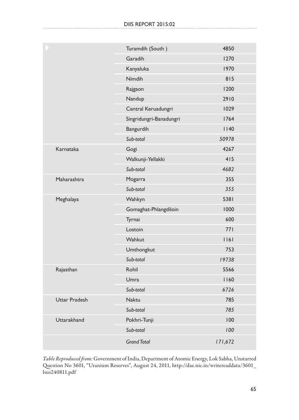|                      | Turamdih (South)        | 4850    |
|----------------------|-------------------------|---------|
|                      | Garadih                 | 1270    |
|                      | Kanyaluka               | 1970    |
|                      | Nimdih                  | 815     |
|                      | Rajgaon                 | 1200    |
|                      | Nandup                  | 2910    |
|                      | Central Keruadungri     | 1029    |
|                      | Singridungri-Banadungri | 1764    |
|                      | Bangurdih               | 1140    |
|                      | Sub-total               | 50978   |
| Karnataka            | Gogi                    | 4267    |
|                      | Walkunji-Yellakki       | 415     |
|                      | Sub-total               | 4682    |
| Maharashtra          | Mogarra                 | 355     |
|                      | Sub-total               | 355     |
| Meghalaya            | Wahkyn                  | 5381    |
|                      | Gomaghat-Phlangdiloin   | 1000    |
|                      | Tyrnai                  | 600     |
|                      | Lostoin                 | 771     |
|                      | Wahkut                  | 161     |
|                      | Umthongkut              | 753     |
|                      | Sub-total               | 19738   |
| Rajasthan            | Rohil                   | 5566    |
|                      | Umra                    | 1160    |
|                      | Sub-total               | 6726    |
| <b>Uttar Pradesh</b> | <b>Naktu</b>            | 785     |
|                      | Sub-total               | 785     |
| Uttarakhand          | Pokhri-Tunji            | 100     |
|                      | Sub-total               | 100     |
|                      | <b>Grand Total</b>      | 171,672 |

*Table Reproduced from:* Government of India, Department of Atomic Energy, Lok Sabha, Unstarred Question No 3601, "Uranium Reserves", August 24, 2011, http://dae.nic.in/writereaddata/3601\_ lsus240811.pdf